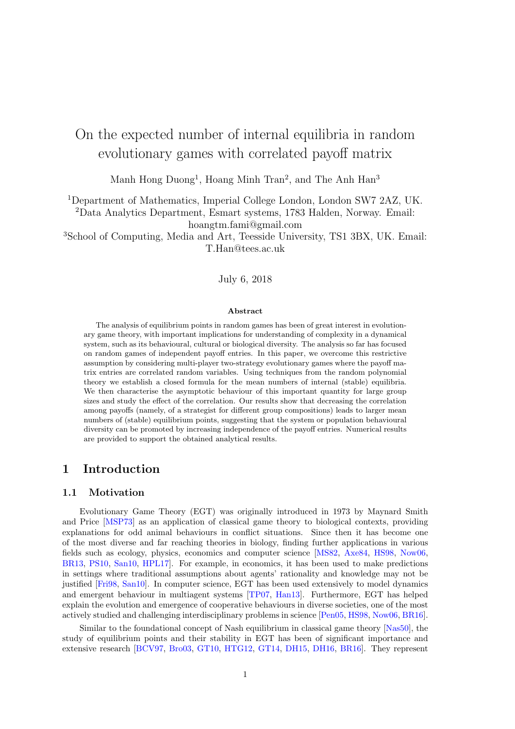# <span id="page-0-0"></span>On the expected number of internal equilibria in random evolutionary games with correlated payoff matrix

Manh Hong Duong<sup>1</sup>, Hoang Minh Tran<sup>2</sup>, and The Anh Han<sup>3</sup>

<sup>1</sup>Department of Mathematics, Imperial College London, London SW7 2AZ, UK.

<sup>2</sup>Data Analytics Department, Esmart systems, 1783 Halden, Norway. Email: hoangtm.fami@gmail.com

<sup>3</sup>School of Computing, Media and Art, Teesside University, TS1 3BX, UK. Email: T.Han@tees.ac.uk

#### July 6, 2018

#### Abstract

The analysis of equilibrium points in random games has been of great interest in evolutionary game theory, with important implications for understanding of complexity in a dynamical system, such as its behavioural, cultural or biological diversity. The analysis so far has focused on random games of independent payoff entries. In this paper, we overcome this restrictive assumption by considering multi-player two-strategy evolutionary games where the payoff matrix entries are correlated random variables. Using techniques from the random polynomial theory we establish a closed formula for the mean numbers of internal (stable) equilibria. We then characterise the asymptotic behaviour of this important quantity for large group sizes and study the effect of the correlation. Our results show that decreasing the correlation among payoffs (namely, of a strategist for different group compositions) leads to larger mean numbers of (stable) equilibrium points, suggesting that the system or population behavioural diversity can be promoted by increasing independence of the payoff entries. Numerical results are provided to support the obtained analytical results.

### 1 Introduction

#### 1.1 Motivation

Evolutionary Game Theory (EGT) was originally introduced in 1973 by Maynard Smith and Price [\[MSP73\]](#page-25-0) as an application of classical game theory to biological contexts, providing explanations for odd animal behaviours in conflict situations. Since then it has become one of the most diverse and far reaching theories in biology, finding further applications in various fields such as ecology, physics, economics and computer science [\[MS82,](#page-25-1) [Axe84,](#page-23-0) [HS98,](#page-25-2) [Now06,](#page-25-3) [BR13,](#page-23-1) [PS10,](#page-25-4) [San10,](#page-26-0) [HPL17\]](#page-25-5). For example, in economics, it has been used to make predictions in settings where traditional assumptions about agents' rationality and knowledge may not be justified [\[Fri98,](#page-24-0) [San10\]](#page-26-0). In computer science, EGT has been used extensively to model dynamics and emergent behaviour in multiagent systems [\[TP07,](#page-26-1) [Han13\]](#page-24-1). Furthermore, EGT has helped explain the evolution and emergence of cooperative behaviours in diverse societies, one of the most actively studied and challenging interdisciplinary problems in science [\[Pen05,](#page-25-6) [HS98,](#page-25-2) [Now06,](#page-25-3) [BR16\]](#page-23-2).

Similar to the foundational concept of Nash equilibrium in classical game theory [\[Nas50\]](#page-25-7), the study of equilibrium points and their stability in EGT has been of significant importance and extensive research [\[BCV97,](#page-23-3) [Bro03,](#page-23-4) [GT10,](#page-24-2) [HTG12,](#page-25-8) [GT14,](#page-24-3) [DH15,](#page-23-5) [DH16,](#page-23-6) [BR16\]](#page-23-2). They represent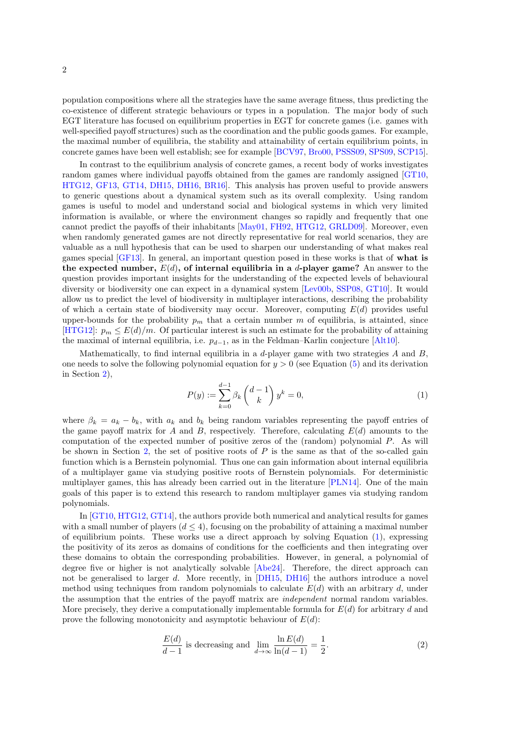population compositions where all the strategies have the same average fitness, thus predicting the co-existence of different strategic behaviours or types in a population. The major body of such EGT literature has focused on equilibrium properties in EGT for concrete games (i.e. games with well-specified payoff structures) such as the coordination and the public goods games. For example, the maximal number of equilibria, the stability and attainability of certain equilibrium points, in concrete games have been well establish; see for example [\[BCV97,](#page-23-3) [Bro00,](#page-23-7) [PSSS09,](#page-25-9) [SPS09,](#page-26-2) [SCP15\]](#page-26-3).

In contrast to the equilibrium analysis of concrete games, a recent body of works investigates random games where individual payoffs obtained from the games are randomly assigned [\[GT10,](#page-24-2) [HTG12,](#page-25-8) [GF13,](#page-24-4) [GT14,](#page-24-3) [DH15,](#page-23-5) [DH16,](#page-23-6) [BR16\]](#page-23-2). This analysis has proven useful to provide answers to generic questions about a dynamical system such as its overall complexity. Using random games is useful to model and understand social and biological systems in which very limited information is available, or where the environment changes so rapidly and frequently that one cannot predict the payoffs of their inhabitants [\[May01,](#page-25-10) [FH92,](#page-24-5) [HTG12,](#page-25-8) [GRLD09\]](#page-24-6). Moreover, even when randomly generated games are not directly representative for real world scenarios, they are valuable as a null hypothesis that can be used to sharpen our understanding of what makes real games special [\[GF13\]](#page-24-4). In general, an important question posed in these works is that of what is the expected number,  $E(d)$ , of internal equilibria in a d-player game? An answer to the question provides important insights for the understanding of the expected levels of behavioural diversity or biodiversity one can expect in a dynamical system [\[Lev00b,](#page-25-11) [SSP08,](#page-26-4) [GT10\]](#page-24-2). It would allow us to predict the level of biodiversity in multiplayer interactions, describing the probability of which a certain state of biodiversity may occur. Moreover, computing  $E(d)$  provides useful upper-bounds for the probability  $p_m$  that a certain number m of equilibria, is attainted, since [\[HTG12\]](#page-25-8):  $p_m \leq E(d)/m$ . Of particular interest is such an estimate for the probability of attaining the maximal of internal equilibria, i.e.  $p_{d-1}$ , as in the Feldman–Karlin conjecture [\[Alt10\]](#page-23-8).

Mathematically, to find internal equilibria in a d-player game with two strategies  $A$  and  $B$ . one needs to solve the following polynomial equation for  $y > 0$  (see Equation [\(5\)](#page-3-0) and its derivation in Section [2\)](#page-3-1),

<span id="page-1-0"></span>
$$
P(y) := \sum_{k=0}^{d-1} \beta_k \binom{d-1}{k} y^k = 0,
$$
\n(1)

where  $\beta_k = a_k - b_k$ , with  $a_k$  and  $b_k$  being random variables representing the payoff entries of the game payoff matrix for A and B, respectively. Therefore, calculating  $E(d)$  amounts to the computation of the expected number of positive zeros of the (random) polynomial P. As will be shown in Section [2,](#page-3-1) the set of positive roots of  $P$  is the same as that of the so-called gain function which is a Bernstein polynomial. Thus one can gain information about internal equilibria of a multiplayer game via studying positive roots of Bernstein polynomials. For deterministic multiplayer games, this has already been carried out in the literature [\[PLN14\]](#page-25-12). One of the main goals of this paper is to extend this research to random multiplayer games via studying random polynomials.

In [\[GT10,](#page-24-2) [HTG12,](#page-25-8) [GT14\]](#page-24-3), the authors provide both numerical and analytical results for games with a small number of players  $(d \leq 4)$ , focusing on the probability of attaining a maximal number of equilibrium points. These works use a direct approach by solving Equation  $(1)$ , expressing the positivity of its zeros as domains of conditions for the coefficients and then integrating over these domains to obtain the corresponding probabilities. However, in general, a polynomial of degree five or higher is not analytically solvable [\[Abe24\]](#page-23-9). Therefore, the direct approach can not be generalised to larger d. More recently, in [\[DH15,](#page-23-5) [DH16\]](#page-23-6) the authors introduce a novel method using techniques from random polynomials to calculate  $E(d)$  with an arbitrary d, under the assumption that the entries of the payoff matrix are independent normal random variables. More precisely, they derive a computationally implementable formula for  $E(d)$  for arbitrary d and prove the following monotonicity and asymptotic behaviour of  $E(d)$ :

<span id="page-1-1"></span>
$$
\frac{E(d)}{d-1}
$$
 is decreasing and  $\lim_{d \to \infty} \frac{\ln E(d)}{\ln(d-1)} = \frac{1}{2}.$  (2)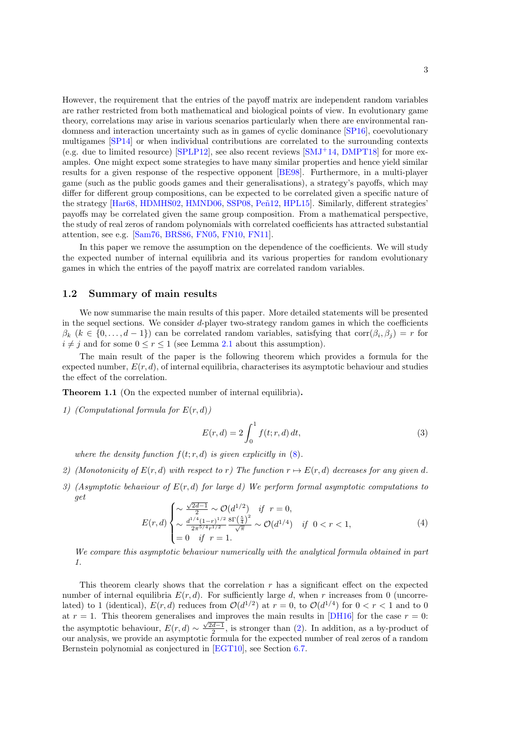However, the requirement that the entries of the payoff matrix are independent random variables are rather restricted from both mathematical and biological points of view. In evolutionary game theory, correlations may arise in various scenarios particularly when there are environmental randomness and interaction uncertainty such as in games of cyclic dominance [\[SP16\]](#page-26-5), coevolutionary multigames [\[SP14\]](#page-26-6) or when individual contributions are correlated to the surrounding contexts (e.g. due to limited resource)  $[SPLP12]$ , see also recent reviews  $[SMJ+14, DMPT18]$  $[SMJ+14, DMPT18]$  for more examples. One might expect some strategies to have many similar properties and hence yield similar results for a given response of the respective opponent [\[BE98\]](#page-23-10). Furthermore, in a multi-player game (such as the public goods games and their generalisations), a strategy's payoffs, which may differ for different group compositions, can be expected to be correlated given a specific nature of the strategy [\[Har68,](#page-24-8) [HDMHS02,](#page-24-9) [HMND06,](#page-24-10) [SSP08,](#page-26-4) Peñ12, [HPL15\]](#page-25-14). Similarly, different strategies' payoffs may be correlated given the same group composition. From a mathematical perspective, the study of real zeros of random polynomials with correlated coefficients has attracted substantial attention, see e.g. [\[Sam76,](#page-25-15) [BRS86,](#page-23-11) [FN05,](#page-24-11) [FN10,](#page-24-12) [FN11\]](#page-24-13).

In this paper we remove the assumption on the dependence of the coefficients. We will study the expected number of internal equilibria and its various properties for random evolutionary games in which the entries of the payoff matrix are correlated random variables.

#### 1.2 Summary of main results

We now summarise the main results of this paper. More detailed statements will be presented in the sequel sections. We consider  $d$ -player two-strategy random games in which the coefficients  $\beta_k$   $(k \in \{0, \ldots, d-1\})$  can be correlated random variables, satisfying that  $\text{corr}(\beta_i, \beta_j) = r$  for  $i \neq j$  and for some  $0 \leq r \leq 1$  (see Lemma [2.1](#page-4-0) about this assumption).

The main result of the paper is the following theorem which provides a formula for the expected number,  $E(r, d)$ , of internal equilibria, characterises its asymptotic behaviour and studies the effect of the correlation.

Theorem 1.1 (On the expected number of internal equilibria).

1) (Computational formula for  $E(r, d)$ )

<span id="page-2-0"></span>
$$
E(r,d) = 2\int_0^1 f(t; r, d) dt,
$$
\n(3)

where the density function  $f(t; r, d)$  is given explicitly in  $(8)$ .

- 2) (Monotonicity of  $E(r, d)$  with respect to r) The function  $r \mapsto E(r, d)$  decreases for any given d.
- 3) (Asymptotic behaviour of  $E(r, d)$  for large d) We perform formal asymptotic computations to get √

<span id="page-2-1"></span>
$$
E(r,d) \begin{cases} \sim \frac{\sqrt{2d-1}}{2} \sim \mathcal{O}(d^{1/2}) & \text{if } r=0, \\ \sim \frac{d^{1/4}(1-r)^{1/2}}{2\pi^{5/4}r^{1/2}} \frac{8\Gamma\left(\frac{5}{4}\right)^2}{\sqrt{\pi}} \sim \mathcal{O}(d^{1/4}) & \text{if } 0 < r < 1, \\ = 0 & \text{if } r=1. \end{cases} \tag{4}
$$

We compare this asymptotic behaviour numerically with the analytical formula obtained in part 1.

This theorem clearly shows that the correlation  $r$  has a significant effect on the expected number of internal equilibria  $E(r, d)$ . For sufficiently large d, when r increases from 0 (uncorrelated) to 1 (identical),  $E(r,d)$  reduces from  $\mathcal{O}(d^{1/2})$  at  $r=0$ , to  $\mathcal{O}(d^{1/4})$  for  $0 < r < 1$  and to 0 at  $r = 1$ . This theorem generalises and improves the main results in [\[DH16\]](#page-23-6) for the case  $r = 0$ : the asymptotic behaviour,  $E(r, d) \sim \frac{\sqrt{2d-1}}{2}$ , is stronger than [\(2\)](#page-1-1). In addition, as a by-product of our analysis, we provide an asymptotic formula for the expected number of real zeros of a random Bernstein polynomial as conjectured in [\[EGT10\]](#page-24-14), see Section [6.7.](#page-22-0)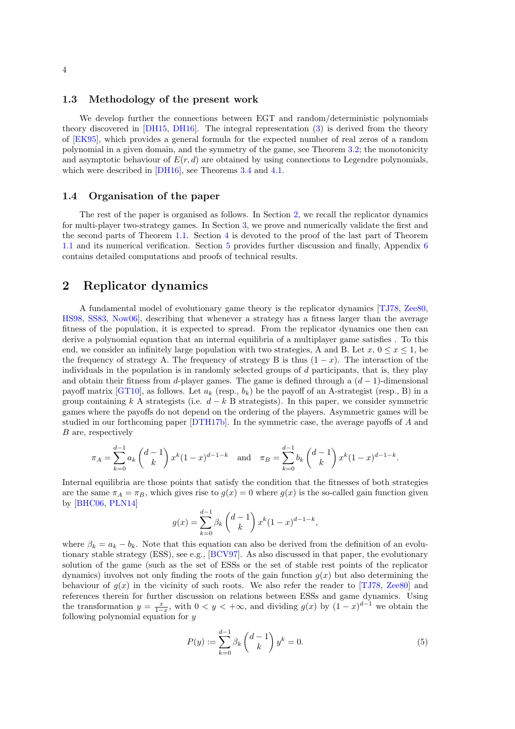#### 1.3 Methodology of the present work

We develop further the connections between EGT and random/deterministic polynomials theory discovered in [\[DH15,](#page-23-5) [DH16\]](#page-23-6). The integral representation [\(3\)](#page-2-0) is derived from the theory of [\[EK95\]](#page-24-15), which provides a general formula for the expected number of real zeros of a random polynomial in a given domain, and the symmetry of the game, see Theorem [3.2;](#page-0-0) the monotonicity and asymptotic behaviour of  $E(r, d)$  are obtained by using connections to Legendre polynomials. which were described in [\[DH16\]](#page-23-6), see Theorems [3.4](#page-7-0) and [4.1.](#page-10-0)

#### 1.4 Organisation of the paper

The rest of the paper is organised as follows. In Section [2,](#page-3-1) we recall the replicator dynamics for multi-player two-strategy games. In Section [3,](#page-4-1) we prove and numerically validate the first and the second parts of Theorem [1.1.](#page-2-1) Section [4](#page-10-1) is devoted to the proof of the last part of Theorem [1.1](#page-2-1) and its numerical verification. Section [5](#page-14-0) provides further discussion and finally, Appendix [6](#page-15-0) contains detailed computations and proofs of technical results.

### <span id="page-3-1"></span>2 Replicator dynamics

A fundamental model of evolutionary game theory is the replicator dynamics [\[TJ78,](#page-26-9) [Zee80,](#page-26-10) [HS98,](#page-25-2) [SS83,](#page-26-11) [Now06\]](#page-25-3), describing that whenever a strategy has a fitness larger than the average fitness of the population, it is expected to spread. From the replicator dynamics one then can derive a polynomial equation that an internal equilibria of a multiplayer game satisfies . To this end, we consider an infinitely large population with two strategies, A and B. Let  $x, 0 \le x \le 1$ , be the frequency of strategy A. The frequency of strategy B is thus  $(1 - x)$ . The interaction of the individuals in the population is in randomly selected groups of  $d$  participants, that is, they play and obtain their fitness from d-player games. The game is defined through a  $(d-1)$ -dimensional payoff matrix [\[GT10\]](#page-24-2), as follows. Let  $a_k$  (resp.,  $b_k$ ) be the payoff of an A-strategist (resp., B) in a group containing k A strategists (i.e.  $d - k$  B strategists). In this paper, we consider symmetric games where the payoffs do not depend on the ordering of the players. Asymmetric games will be studied in our forthcoming paper [\[DTH17b\]](#page-24-16). In the symmetric case, the average payoffs of A and B are, respectively

$$
\pi_A = \sum_{k=0}^{d-1} a_k \binom{d-1}{k} x^k (1-x)^{d-1-k} \quad \text{and} \quad \pi_B = \sum_{k=0}^{d-1} b_k \binom{d-1}{k} x^k (1-x)^{d-1-k}.
$$

Internal equilibria are those points that satisfy the condition that the fitnesses of both strategies are the same  $\pi_A = \pi_B$ , which gives rise to  $g(x) = 0$  where  $g(x)$  is the so-called gain function given by [\[BHC06,](#page-23-12) [PLN14\]](#page-25-12)

$$
g(x) = \sum_{k=0}^{d-1} \beta_k {d-1 \choose k} x^k (1-x)^{d-1-k},
$$

where  $\beta_k = a_k - b_k$ . Note that this equation can also be derived from the definition of an evolutionary stable strategy (ESS), see e.g., [\[BCV97\]](#page-23-3). As also discussed in that paper, the evolutionary solution of the game (such as the set of ESSs or the set of stable rest points of the replicator dynamics) involves not only finding the roots of the gain function  $q(x)$  but also determining the behaviour of  $g(x)$  in the vicinity of such roots. We also refer the reader to [\[TJ78,](#page-26-9) [Zee80\]](#page-26-10) and references therein for further discussion on relations between ESSs and game dynamics. Using the transformation  $y = \frac{x}{1-x}$ , with  $0 < y < +\infty$ , and dividing  $g(x)$  by  $(1-x)^{d-1}$  we obtain the following polynomial equation for y

<span id="page-3-0"></span>
$$
P(y) := \sum_{k=0}^{d-1} \beta_k \binom{d-1}{k} y^k = 0.
$$
 (5)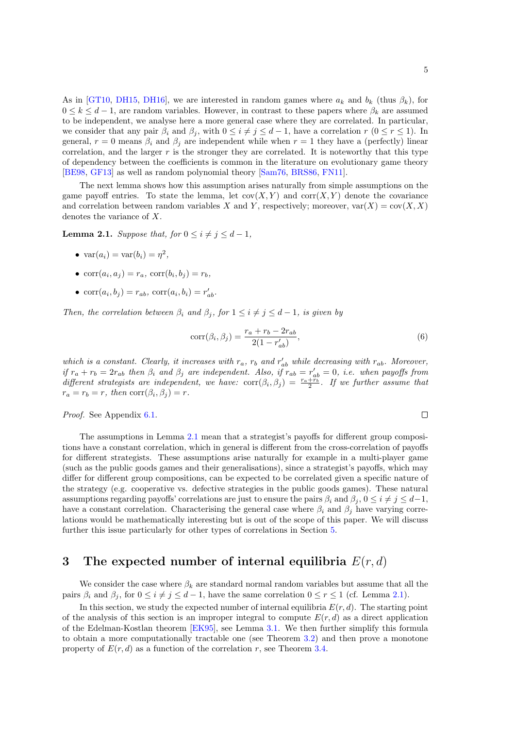As in [\[GT10,](#page-24-2) [DH15,](#page-23-5) [DH16\]](#page-23-6), we are interested in random games where  $a_k$  and  $b_k$  (thus  $\beta_k$ ), for  $0 \leq k \leq d-1$ , are random variables. However, in contrast to these papers where  $\beta_k$  are assumed to be independent, we analyse here a more general case where they are correlated. In particular, we consider that any pair  $\beta_i$  and  $\beta_j$ , with  $0 \leq i \neq j \leq d-1$ , have a correlation  $r$   $(0 \leq r \leq 1)$ . In general,  $r = 0$  means  $\beta_i$  and  $\beta_j$  are independent while when  $r = 1$  they have a (perfectly) linear correlation, and the larger  $r$  is the stronger they are correlated. It is noteworthy that this type of dependency between the coefficients is common in the literature on evolutionary game theory [\[BE98,](#page-23-10) [GF13\]](#page-24-4) as well as random polynomial theory [\[Sam76,](#page-25-15) [BRS86,](#page-23-11) [FN11\]](#page-24-13).

The next lemma shows how this assumption arises naturally from simple assumptions on the game payoff entries. To state the lemma, let  $cov(X, Y)$  and  $corr(X, Y)$  denote the covariance and correlation between random variables X and Y, respectively; moreover,  $var(X) = cov(X, X)$ denotes the variance of X.

<span id="page-4-0"></span>**Lemma 2.1.** Suppose that, for  $0 \leq i \neq j \leq d-1$ ,

- $\operatorname{var}(a_i) = \operatorname{var}(b_i) = \eta^2$ ,
- $\text{corr}(a_i, a_j) = r_a$ ,  $\text{corr}(b_i, b_j) = r_b$ ,
- $\text{corr}(a_i, b_j) = r_{ab}, \, \text{corr}(a_i, b_i) = r'_{ab}.$

Then, the correlation between  $\beta_i$  and  $\beta_j$ , for  $1 \leq i \neq j \leq d-1$ , is given by

$$
corr(\beta_i, \beta_j) = \frac{r_a + r_b - 2r_{ab}}{2(1 - r'_{ab})},
$$
\n(6)

which is a constant. Clearly, it increases with  $r_a$ ,  $r_b$  and  $r'_{ab}$  while decreasing with  $r_{ab}$ . Moreover, if  $r_a + r_b = 2r_{ab}$  then  $\beta_i$  and  $\beta_j$  are independent. Also, if  $r_{ab} = r'_{ab} = 0$ , i.e. when payoffs from different strategists are independent, we have:  $\text{corr}(\beta_i, \beta_j) = \frac{r_a + r_b}{2}$ . If we further assume that  $r_a = r_b = r$ , then  $\text{corr}(\beta_i, \beta_j) = r$ .

Proof. See Appendix [6.1.](#page-15-1)

The assumptions in Lemma [2.1](#page-4-0) mean that a strategist's payoffs for different group compositions have a constant correlation, which in general is different from the cross-correlation of payoffs for different strategists. These assumptions arise naturally for example in a multi-player game (such as the public goods games and their generalisations), since a strategist's payoffs, which may differ for different group compositions, can be expected to be correlated given a specific nature of the strategy (e.g. cooperative vs. defective strategies in the public goods games). These natural assumptions regarding payoffs' correlations are just to ensure the pairs  $\beta_i$  and  $\beta_j$ ,  $0 \le i \ne j \le d-1$ , have a constant correlation. Characterising the general case where  $\beta_i$  and  $\beta_j$  have varying correlations would be mathematically interesting but is out of the scope of this paper. We will discuss further this issue particularly for other types of correlations in Section [5.](#page-14-0)

### <span id="page-4-1"></span>3 The expected number of internal equilibria  $E(r, d)$

We consider the case where  $\beta_k$  are standard normal random variables but assume that all the pairs  $\beta_i$  and  $\beta_j$ , for  $0 \le i \ne j \le d-1$ , have the same correlation  $0 \le r \le 1$  (cf. Lemma [2.1\)](#page-4-0).

In this section, we study the expected number of internal equilibria  $E(r, d)$ . The starting point of the analysis of this section is an improper integral to compute  $E(r, d)$  as a direct application of the Edelman-Kostlan theorem [\[EK95\]](#page-24-15), see Lemma [3.1.](#page-5-1) We then further simplify this formula to obtain a more computationally tractable one (see Theorem [3.2\)](#page-0-0) and then prove a monotone property of  $E(r, d)$  as a function of the correlation r, see Theorem [3.4.](#page-7-0)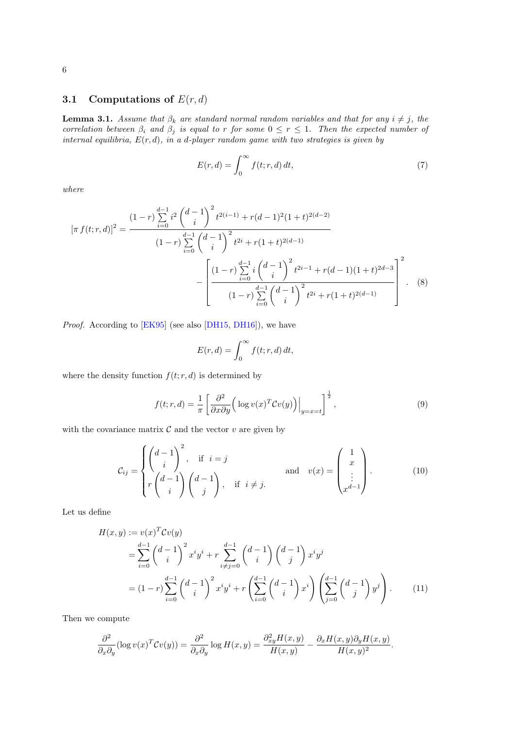# 3.1 Computations of  $E(r, d)$

<span id="page-5-1"></span>**Lemma 3.1.** Assume that  $\beta_k$  are standard normal random variables and that for any  $i \neq j$ , the correlation between  $\beta_i$  and  $\beta_j$  is equal to r for some  $0 \le r \le 1$ . Then the expected number of internal equilibria,  $E(r, d)$ , in a d-player random game with two strategies is given by

<span id="page-5-4"></span>
$$
E(r,d) = \int_0^\infty f(t; r, d) dt,
$$
\n(7)

where

$$
[\pi f(t; r, d)]^{2} = \frac{(1 - r)\sum_{i=0}^{d-1} i^{2} {d-1 \choose i}^{2} t^{2(i-1)} + r(d-1)^{2} (1+t)^{2(d-2)}}{(1 - r)\sum_{i=0}^{d-1} {d-1 \choose i}^{2} t^{2i} + r(1+t)^{2(d-1)}} - \left[ \frac{(1 - r)\sum_{i=0}^{d-1} i {d-1 \choose i}^{2} t^{2i-1} + r(d-1)(1+t)^{2d-3}}{(1 - r)\sum_{i=0}^{d-1} {d-1 \choose i}^{2} t^{2i} + r(1+t)^{2(d-1)}} \right]^{2}.
$$
(8)

Proof. According to [\[EK95\]](#page-24-15) (see also [\[DH15,](#page-23-5) [DH16\]](#page-23-6)), we have

<span id="page-5-0"></span>
$$
E(r,d) = \int_0^\infty f(t; r, d) dt,
$$

where the density function  $f(t; r, d)$  is determined by

<span id="page-5-3"></span>
$$
f(t; r, d) = \frac{1}{\pi} \left[ \frac{\partial^2}{\partial x \partial y} \left( \log v(x)^T C v(y) \right) \Big|_{y=x=t} \right]^{\frac{1}{2}},
$$
\n(9)

with the covariance matrix  $\mathcal C$  and the vector  $v$  are given by

$$
\mathcal{C}_{ij} = \begin{cases}\n\begin{pmatrix}d-1\\i\\r\end{pmatrix}^2, & \text{if } i = j \\
r\begin{pmatrix}d-1\\i\end{pmatrix}\begin{pmatrix}d-1\\j\end{pmatrix}, & \text{if } i \neq j.\n\end{cases} \quad \text{and} \quad v(x) = \begin{pmatrix}1\\x\\ \vdots\\x^{d-1}\end{pmatrix}.
$$
\n(10)

Let us define

<span id="page-5-2"></span>
$$
H(x,y) := v(x)^T C v(y)
$$
  
= 
$$
\sum_{i=0}^{d-1} {d-1 \choose i}^2 x^i y^i + r \sum_{i \neq j=0}^{d-1} {d-1 \choose i} {d-1 \choose j} x^i y^j
$$
  
= 
$$
(1-r) \sum_{i=0}^{d-1} {d-1 \choose i}^2 x^i y^i + r \left( \sum_{i=0}^{d-1} {d-1 \choose i} x^i \right) \left( \sum_{j=0}^{d-1} {d-1 \choose j} y^j \right).
$$
 (11)

Then we compute

$$
\frac{\partial^2}{\partial_x \partial_y} (\log v(x)^T C v(y)) = \frac{\partial^2}{\partial_x \partial_y} \log H(x, y) = \frac{\partial^2_{xy} H(x, y)}{H(x, y)} - \frac{\partial_x H(x, y) \partial_y H(x, y)}{H(x, y)^2}.
$$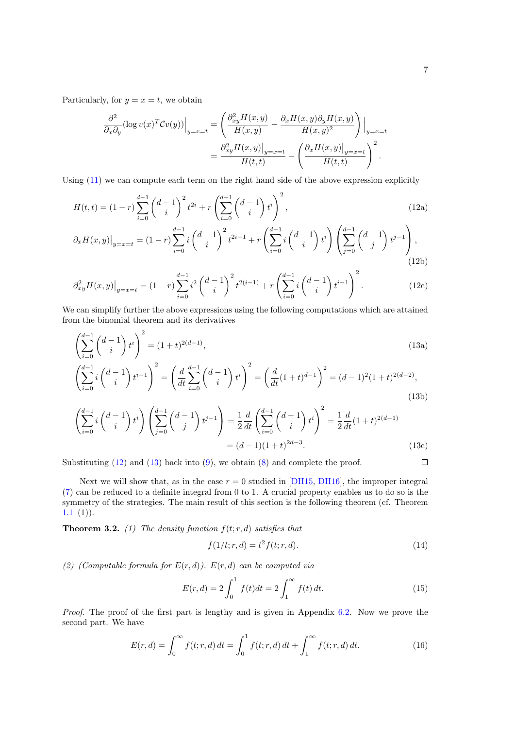Particularly, for  $y = x = t$ , we obtain

<span id="page-6-0"></span>
$$
\frac{\partial^2}{\partial_x \partial_y} (\log v(x)^T C v(y)) \Big|_{y=x=t} = \left( \frac{\partial_{xy}^2 H(x,y)}{H(x,y)} - \frac{\partial_x H(x,y) \partial_y H(x,y)}{H(x,y)^2} \right) \Big|_{y=x=t} \n= \frac{\partial_{xy}^2 H(x,y) \Big|_{y=x=t}}{H(t,t)} - \left( \frac{\partial_x H(x,y) \Big|_{y=x=t}}{H(t,t)} \right)^2.
$$

Using  $(11)$  we can compute each term on the right hand side of the above expression explicitly

$$
H(t,t) = (1-r)\sum_{i=0}^{d-1} {d-1 \choose i}^2 t^{2i} + r\left(\sum_{i=0}^{d-1} {d-1 \choose i} t^i\right)^2,
$$
\n
$$
\partial_r H(x,y) \Big|_{t=0} = (1-r)\sum_{i=0}^{d-1} i \left(d-1\right)^2 t^{2i-1} + r\left(\sum_{i=0}^{d-1} i \left(d-1\right) t^i\right) \left(\sum_{i=0}^{d-1} {d-1 \choose i} t^{j-1}\right).
$$
\n(12a)

$$
\partial_x H(x,y)|_{y=x=t} = (1-r)\sum_{i=0}^{\infty} i\binom{d-1}{i} t^{2i-1} + r\left(\sum_{i=0}^{\infty} i\binom{d-1}{i} t^i\right) \left(\sum_{j=0}^{\infty} \binom{d-1}{j} t^{j-1}\right),\tag{12b}
$$

$$
\left. \partial_{xy}^2 H(x,y) \right|_{y=x=t} = (1-r) \sum_{i=0}^{d-1} i^2 \left( \frac{d-1}{i} \right)^2 t^{2(i-1)} + r \left( \sum_{i=0}^{d-1} i \left( \frac{d-1}{i} \right) t^{i-1} \right)^2.
$$
 (12c)

We can simplify further the above expressions using the following computations which are attained from the binomial theorem and its derivatives

<span id="page-6-1"></span>
$$
\left(\sum_{i=0}^{d-1} {d-1 \choose i} t^i\right)^2 = (1+t)^{2(d-1)},\tag{13a}
$$

$$
\left(\sum_{i=0}^{d-1} i \binom{d-1}{i} t^{i-1}\right)^2 = \left(\frac{d}{dt} \sum_{i=0}^{d-1} \binom{d-1}{i} t^i\right)^2 = \left(\frac{d}{dt} (1+t)^{d-1}\right)^2 = (d-1)^2 (1+t)^{2(d-2)},\tag{13b}
$$

$$
\left(\sum_{i=0}^{d-1} i \binom{d-1}{i} t^i\right) \left(\sum_{j=0}^{d-1} \binom{d-1}{j} t^{j-1}\right) = \frac{1}{2} \frac{d}{dt} \left(\sum_{i=0}^{d-1} \binom{d-1}{i} t^i\right)^2 = \frac{1}{2} \frac{d}{dt} (1+t)^{2(d-1)} = (d-1)(1+t)^{2d-3}.
$$
\n(13c)

Substituting  $(12)$  and  $(13)$  back into  $(9)$ , we obtain  $(8)$  and complete the proof.

Next we will show that, as in the case  $r = 0$  studied in [\[DH15,](#page-23-5) [DH16\]](#page-23-6), the improper integral [\(7\)](#page-5-4) can be reduced to a definite integral from 0 to 1. A crucial property enables us to do so is the symmetry of the strategies. The main result of this section is the following theorem (cf. Theorem  $1.1-(1)$ .

**Theorem 3.2.** (1) The density function  $f(t; r, d)$  satisfies that

<span id="page-6-3"></span>
$$
f(1/t; r, d) = t^2 f(t; r, d).
$$
\n(14)

(2) (Computable formula for  $E(r, d)$ ).  $E(r, d)$  can be computed via

<span id="page-6-4"></span>
$$
E(r,d) = 2\int_0^1 f(t)dt = 2\int_1^\infty f(t) dt.
$$
 (15)

Proof. The proof of the first part is lengthy and is given in Appendix [6.2.](#page-15-2) Now we prove the second part. We have

<span id="page-6-2"></span>
$$
E(r,d) = \int_0^\infty f(t; r, d) dt = \int_0^1 f(t; r, d) dt + \int_1^\infty f(t; r, d) dt.
$$
 (16)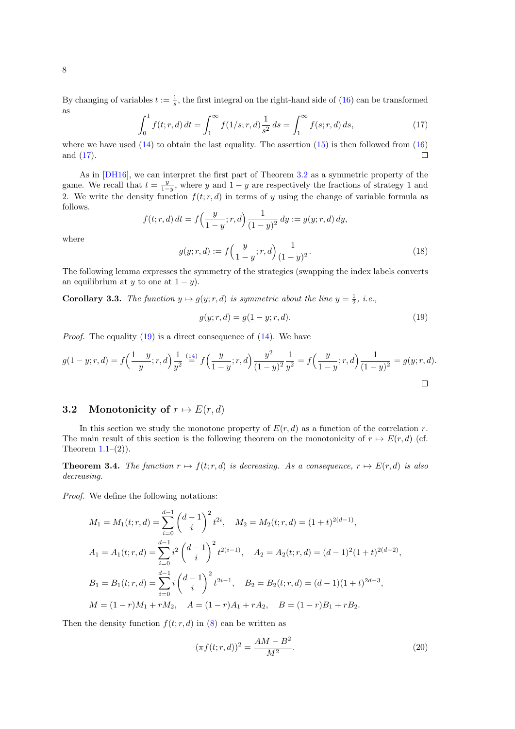<span id="page-7-1"></span>
$$
\int_0^1 f(t; r, d) dt = \int_1^\infty f(1/s; r, d) \frac{1}{s^2} ds = \int_1^\infty f(s; r, d) ds,
$$
\n(17)

where we have used  $(14)$  to obtain the last equality. The assertion  $(15)$  is then followed from  $(16)$ and [\(17\)](#page-7-1).  $\Box$ 

As in [\[DH16\]](#page-23-6), we can interpret the first part of Theorem [3.2](#page-0-0) as a symmetric property of the game. We recall that  $t = \frac{y}{1-y}$ , where y and  $1 - y$  are respectively the fractions of strategy 1 and 2. We write the density function  $f(t; r, d)$  in terms of y using the change of variable formula as follows.

$$
f(t; r, d) dt = f\left(\frac{y}{1-y}; r, d\right) \frac{1}{(1-y)^2} dy := g(y; r, d) dy,
$$

where

$$
g(y; r, d) := f\left(\frac{y}{1-y}; r, d\right) \frac{1}{(1-y)^2}.
$$
\n(18)

The following lemma expresses the symmetry of the strategies (swapping the index labels converts an equilibrium at y to one at  $1 - y$ ).

**Corollary 3.3.** The function  $y \mapsto g(y; r, d)$  is symmetric about the line  $y = \frac{1}{2}$ , i.e.,

<span id="page-7-2"></span>
$$
g(y; r, d) = g(1 - y; r, d).
$$
\n(19)

*Proof.* The equality  $(19)$  is a direct consequence of  $(14)$ . We have

$$
g(1-y;r,d) = f\left(\frac{1-y}{y};r,d\right) \frac{1}{y^2} \stackrel{(14)}{=} f\left(\frac{y}{1-y};r,d\right) \frac{y^2}{(1-y)^2} \frac{1}{y^2} = f\left(\frac{y}{1-y};r,d\right) \frac{1}{(1-y)^2} = g(y;r,d).
$$

### 3.2 Monotonicity of  $r \mapsto E(r, d)$

In this section we study the monotone property of  $E(r, d)$  as a function of the correlation r. The main result of this section is the following theorem on the monotonicity of  $r \mapsto E(r, d)$  (cf. Theorem  $1.1-(2)$ ).

<span id="page-7-0"></span>**Theorem 3.4.** The function  $r \mapsto f(t; r, d)$  is decreasing. As a consequence,  $r \mapsto E(r, d)$  is also decreasing.

Proof. We define the following notations:

$$
M_1 = M_1(t; r, d) = \sum_{i=0}^{d-1} {d-1 \choose i}^2 t^{2i}, \quad M_2 = M_2(t; r, d) = (1+t)^{2(d-1)},
$$
  
\n
$$
A_1 = A_1(t; r, d) = \sum_{i=0}^{d-1} i^2 {d-1 \choose i}^2 t^{2(i-1)}, \quad A_2 = A_2(t; r, d) = (d-1)^2 (1+t)^{2(d-2)},
$$
  
\n
$$
B_1 = B_1(t; r, d) = \sum_{i=0}^{d-1} i {d-1 \choose i}^2 t^{2i-1}, \quad B_2 = B_2(t; r, d) = (d-1)(1+t)^{2d-3},
$$
  
\n
$$
M = (1-r)M_1 + rM_2, \quad A = (1-r)A_1 + rA_2, \quad B = (1-r)B_1 + rB_2.
$$

Then the density function  $f(t; r, d)$  in [\(8\)](#page-5-0) can be written as

<span id="page-7-3"></span>
$$
(\pi f(t; r, d))^2 = \frac{AM - B^2}{M^2}.
$$
\n(20)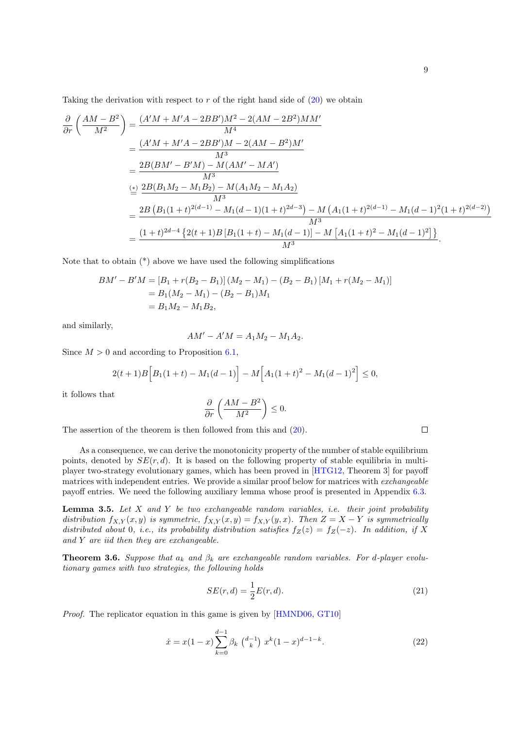Taking the derivation with respect to  $r$  of the right hand side of  $(20)$  we obtain

$$
\frac{\partial}{\partial r} \left( \frac{AM - B^2}{M^2} \right) = \frac{(A'M + M'A - 2BB')M^2 - 2(AM - 2B^2)MM'}{M^4}
$$
\n
$$
= \frac{(A'M + M'A - 2BB')M - 2(AM - B^2)M'}{M^3}
$$
\n
$$
= \frac{2B(BM' - B'M) - M(AM' - MA')}{M^3}
$$
\n
$$
\stackrel{\text{(a)}{=}}{=} \frac{2B(B_1M_2 - M_1B_2) - M(A_1M_2 - M_1A_2)}{M^3}
$$
\n
$$
= \frac{2B(B_1(1+t)^{2(d-1)} - M_1(d-1)(1+t)^{2d-3}) - M(A_1(1+t)^{2(d-1)} - M_1(d-1)^2(1+t)^{2(d-2)})}{M^3}
$$
\n
$$
= \frac{(1+t)^{2d-4} \{2(t+1)B[B_1(1+t) - M_1(d-1)] - M[A_1(1+t)^2 - M_1(d-1)^2] \}}{M^3}.
$$

Note that to obtain (\*) above we have used the following simplifications

$$
BM' - B'M = [B_1 + r(B_2 - B_1)] (M_2 - M_1) - (B_2 - B_1) [M_1 + r(M_2 - M_1)]
$$
  
= B<sub>1</sub>(M<sub>2</sub> - M<sub>1</sub>) - (B<sub>2</sub> - B<sub>1</sub>)M<sub>1</sub>  
= B<sub>1</sub>M<sub>2</sub> - M<sub>1</sub>B<sub>2</sub>,

and similarly,

$$
AM' - A'M = A_1M_2 - M_1A_2.
$$

Since  $M > 0$  and according to Proposition [6.1,](#page-18-0)

$$
2(t+1)B\Big[B_1(1+t) - M_1(d-1)\Big] - M\Big[A_1(1+t)^2 - M_1(d-1)^2\Big] \le 0,
$$

it follows that

$$
\frac{\partial}{\partial r}\left(\frac{AM-B^2}{M^2}\right) \leq 0.
$$

The assertion of the theorem is then followed from this and [\(20\)](#page-7-3).

As a consequence, we can derive the monotonicity property of the number of stable equilibrium points, denoted by  $SE(r, d)$ . It is based on the following property of stable equilibria in multiplayer two-strategy evolutionary games, which has been proved in [\[HTG12,](#page-25-8) Theorem 3] for payoff matrices with independent entries. We provide a similar proof below for matrices with exchangeable payoff entries. We need the following auxiliary lemma whose proof is presented in Appendix [6.3.](#page-17-0)

<span id="page-8-0"></span>**Lemma 3.5.** Let  $X$  and  $Y$  be two exchangeable random variables, i.e. their joint probability distribution  $f_{X,Y}(x, y)$  is symmetric,  $f_{X,Y}(x, y) = f_{X,Y}(y, x)$ . Then  $Z = X - Y$  is symmetrically distributed about 0, i.e., its probability distribution satisfies  $f_Z(z) = f_Z(-z)$ . In addition, if X and  $Y$  are iid then they are exchangeable.

<span id="page-8-1"></span>**Theorem 3.6.** Suppose that  $a_k$  and  $\beta_k$  are exchangeable random variables. For d-player evolutionary games with two strategies, the following holds

$$
SE(r,d) = \frac{1}{2}E(r,d). \tag{21}
$$

Proof. The replicator equation in this game is given by [\[HMND06,](#page-24-10) [GT10\]](#page-24-2)

$$
\dot{x} = x(1-x) \sum_{k=0}^{d-1} \beta_k \binom{d-1}{k} x^k (1-x)^{d-1-k}.
$$
 (22)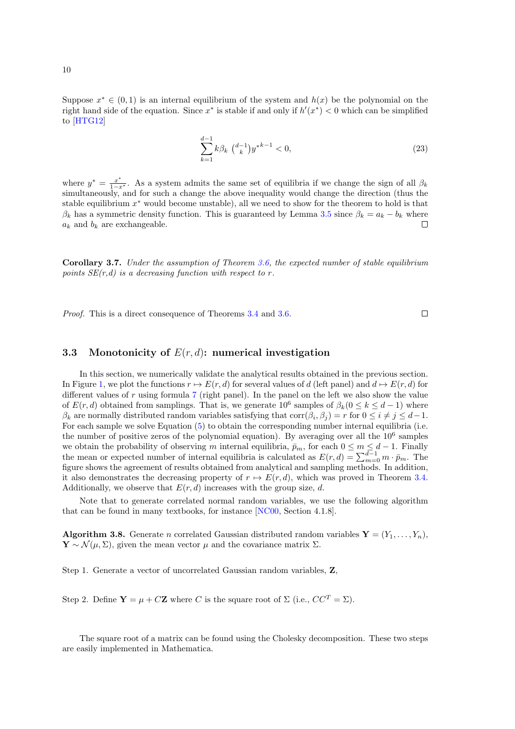Suppose  $x^* \in (0,1)$  is an internal equilibrium of the system and  $h(x)$  be the polynomial on the right hand side of the equation. Since  $x^*$  is stable if and only if  $h'(x^*) < 0$  which can be simplified to [\[HTG12\]](#page-25-8)

$$
\sum_{k=1}^{d-1} k \beta_k \binom{d-1}{k} y^{*k-1} < 0,\tag{23}
$$

where  $y^* = \frac{x^*}{1-x^*}$ . As a system admits the same set of equilibria if we change the sign of all  $\beta_k$ simultaneously, and for such a change the above inequality would change the direction (thus the stable equilibrium  $x^*$  would become unstable), all we need to show for the theorem to hold is that  $\beta_k$  has a symmetric density function. This is guaranteed by Lemma [3.5](#page-8-0) since  $\beta_k = a_k - b_k$  where  $a_k$  and  $b_k$  are exchangeable.  $\Box$ 

Corollary 3.7. Under the assumption of Theorem [3.6,](#page-8-1) the expected number of stable equilibrium points  $SE(r,d)$  is a decreasing function with respect to r.

Proof. This is a direct consequence of Theorems [3.4](#page-7-0) and [3.6.](#page-8-1)

 $\Box$ 

#### 3.3 Monotonicity of  $E(r, d)$ : numerical investigation

In this section, we numerically validate the analytical results obtained in the previous section. In Figure [1,](#page-10-2) we plot the functions  $r \mapsto E(r, d)$  for several values of d (left panel) and  $d \mapsto E(r, d)$  for different values of  $r$  using formula  $7$  (right panel). In the panel on the left we also show the value of  $E(r, d)$  obtained from samplings. That is, we generate  $10^6$  samples of  $\beta_k$  ( $0 \le k \le d-1$ ) where  $\beta_k$  are normally distributed random variables satisfying that  $\text{corr}(\beta_i, \beta_j) = r$  for  $0 \leq i \neq j \leq d-1$ . For each sample we solve Equation [\(5\)](#page-3-0) to obtain the corresponding number internal equilibria (i.e. the number of positive zeros of the polynomial equation). By averaging over all the  $10^6$  samples we obtain the probability of observing m internal equilibria,  $\bar{p}_m$ , for each  $0 \leq m \leq d-1$ . Finally the mean or expected number of internal equilibria is calculated as  $E(r,d) = \sum_{m=0}^{d-1} m \cdot \bar{p}_m$ . The figure shows the agreement of results obtained from analytical and sampling methods. In addition, it also demonstrates the decreasing property of  $r \mapsto E(r, d)$ , which was proved in Theorem [3.4.](#page-7-0) Additionally, we observe that  $E(r, d)$  increases with the group size, d.

Note that to generate correlated normal random variables, we use the following algorithm that can be found in many textbooks, for instance [\[NC00,](#page-25-16) Section 4.1.8].

**Algorithm 3.8.** Generate n correlated Gaussian distributed random variables  $\mathbf{Y} = (Y_1, \ldots, Y_n)$ ,  $\mathbf{Y} \sim \mathcal{N}(\mu, \Sigma)$ , given the mean vector  $\mu$  and the covariance matrix  $\Sigma$ .

Step 1. Generate a vector of uncorrelated Gaussian random variables, Z,

<span id="page-9-0"></span>Step 2. Define  $\mathbf{Y} = \mu + C\mathbf{Z}$  where C is the square root of  $\Sigma$  (i.e.,  $CC^T = \Sigma$ ).

The square root of a matrix can be found using the Cholesky decomposition. These two steps are easily implemented in Mathematica.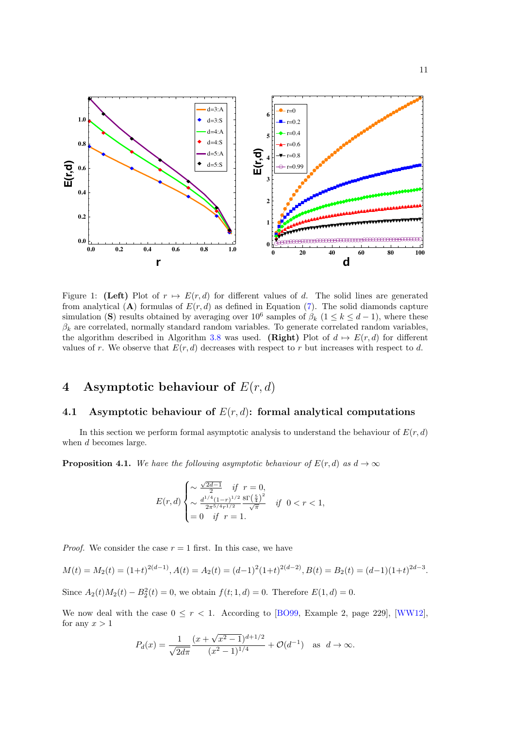

<span id="page-10-2"></span>Figure 1: (Left) Plot of  $r \mapsto E(r, d)$  for different values of d. The solid lines are generated from analytical (A) formulas of  $E(r, d)$  as defined in Equation [\(7\)](#page-5-4). The solid diamonds capture simulation (S) results obtained by averaging over  $10^6$  samples of  $\beta_k$  ( $1 \leq k \leq d-1$ ), where these  $\beta_k$  are correlated, normally standard random variables. To generate correlated random variables, the algorithm described in Algorithm [3.8](#page-9-0) was used. (Right) Plot of  $d \mapsto E(r, d)$  for different values of r. We observe that  $E(r, d)$  decreases with respect to r but increases with respect to d.

# <span id="page-10-1"></span>4 Asymptotic behaviour of  $E(r, d)$

### 4.1 Asymptotic behaviour of  $E(r, d)$ : formal analytical computations

In this section we perform formal asymptotic analysis to understand the behaviour of  $E(r, d)$ when d becomes large.

<span id="page-10-0"></span>**Proposition 4.1.** We have the following asymptotic behaviour of  $E(r, d)$  as  $d \rightarrow \infty$ 

$$
E(r,d) \begin{cases} \sim \frac{\sqrt{2d-1}}{2} \quad \text{if} \quad r=0, \\ \sim \frac{d^{1/4}(1-r)^{1/2}}{2\pi^{5/4}r^{1/2}} \frac{8\Gamma\left(\frac{5}{4}\right)^2}{\sqrt{\pi}} \quad \text{if} \quad 0 < r < 1, \\ = 0 \quad \text{if} \quad r=1. \end{cases}
$$

*Proof.* We consider the case  $r = 1$  first. In this case, we have

$$
M(t) = M_2(t) = (1+t)^{2(d-1)}, A(t) = A_2(t) = (d-1)^2(1+t)^{2(d-2)}, B(t) = B_2(t) = (d-1)(1+t)^{2d-3}.
$$

Since  $A_2(t)M_2(t) - B_2^2(t) = 0$ , we obtain  $f(t; 1, d) = 0$ . Therefore  $E(1, d) = 0$ .

We now deal with the case  $0 \leq r < 1$ . According to [\[BO99,](#page-23-13) Example 2, page 229], [\[WW12\]](#page-26-12), for any  $x > 1$ 

$$
P_d(x) = \frac{1}{\sqrt{2d\pi}} \frac{(x + \sqrt{x^2 - 1})^{d+1/2}}{(x^2 - 1)^{1/4}} + \mathcal{O}(d^{-1}) \text{ as } d \to \infty.
$$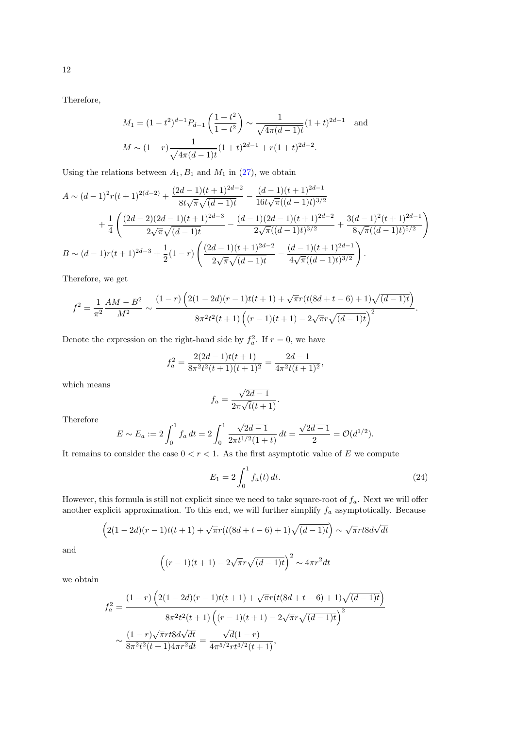Therefore,

$$
M_1 = (1 - t^2)^{d-1} P_{d-1} \left( \frac{1 + t^2}{1 - t^2} \right) \sim \frac{1}{\sqrt{4\pi (d-1)t}} (1 + t)^{2d-1}
$$
 and  

$$
M \sim (1 - r) \frac{1}{\sqrt{4\pi (d-1)t}} (1 + t)^{2d-1} + r(1 + t)^{2d-2}.
$$

Using the relations between  $A_1, B_1$  and  $M_1$  in [\(27\)](#page-15-3), we obtain

$$
A \sim (d-1)^2 r(t+1)^{2(d-2)} + \frac{(2d-1)(t+1)^{2d-2}}{8t\sqrt{\pi}\sqrt{(d-1)t}} - \frac{(d-1)(t+1)^{2d-1}}{16t\sqrt{\pi}((d-1)t)^{3/2}} + \frac{1}{4} \left( \frac{(2d-2)(2d-1)(t+1)^{2d-3}}{2\sqrt{\pi}\sqrt{(d-1)t}} - \frac{(d-1)(2d-1)(t+1)^{2d-2}}{2\sqrt{\pi}((d-1)t)^{3/2}} + \frac{3(d-1)^2(t+1)^{2d-1}}{8\sqrt{\pi}((d-1)t)^{5/2}} \right) B \sim (d-1)r(t+1)^{2d-3} + \frac{1}{2}(1-r) \left( \frac{(2d-1)(t+1)^{2d-2}}{2\sqrt{\pi}\sqrt{(d-1)t}} - \frac{(d-1)(t+1)^{2d-1}}{4\sqrt{\pi}((d-1)t)^{3/2}} \right).
$$

Therefore, we get

$$
f^{2} = \frac{1}{\pi^{2}} \frac{AM - B^{2}}{M^{2}} \sim \frac{(1 - r) \left(2(1 - 2d)(r - 1)t(t + 1) + \sqrt{\pi}r(t(8d + t - 6) + 1)\sqrt{(d - 1)t}\right)}{8\pi^{2}t^{2}(t + 1)\left((r - 1)(t + 1) - 2\sqrt{\pi}r\sqrt{(d - 1)t}\right)^{2}}.
$$

Denote the expression on the right-hand side by  $f_a^2$ . If  $r = 0$ , we have

$$
f_a^2 = \frac{2(2d-1)t(t+1)}{8\pi^2 t^2(t+1)(t+1)^2} = \frac{2d-1}{4\pi^2 t(t+1)^2},
$$

which means

$$
f_a = \frac{\sqrt{2d-1}}{2\pi\sqrt{t}(t+1)}
$$

.

Therefore

$$
E \sim E_a := 2 \int_0^1 f_a dt = 2 \int_0^1 \frac{\sqrt{2d-1}}{2\pi t^{1/2} (1+t)} dt = \frac{\sqrt{2d-1}}{2} = \mathcal{O}(d^{1/2}).
$$

It remains to consider the case  $0 < r < 1$ . As the first asymptotic value of E we compute

$$
E_1 = 2 \int_0^1 f_a(t) dt.
$$
 (24)

However, this formula is still not explicit since we need to take square-root of  $f_a$ . Next we will offer another explicit approximation. To this end, we will further simplify  $f_a$  asymptotically. Because

$$
(2(1-2d)(r-1)t(t+1) + \sqrt{\pi}r(t(8d+t-6) + 1)\sqrt{(d-1)t}) \sim \sqrt{\pi}rt8d\sqrt{dt}
$$

and

$$
\left((r-1)(t+1) - 2\sqrt{\pi}r\sqrt{(d-1)t}\right)^2 \sim 4\pi r^2 dt
$$

we obtain

$$
f_a^2 = \frac{(1-r)\left(2(1-2d)(r-1)t(t+1) + \sqrt{\pi}r(t(8d+t-6)+1)\sqrt{(d-1)t}\right)}{8\pi^2t^2(t+1)\left((r-1)(t+1) - 2\sqrt{\pi}r\sqrt{(d-1)t}\right)^2}
$$

$$
\sim \frac{(1-r)\sqrt{\pi}rt8d\sqrt{dt}}{8\pi^2t^2(t+1)4\pi r^2dt} = \frac{\sqrt{d}(1-r)}{4\pi^{5/2}rt^{3/2}(t+1)},
$$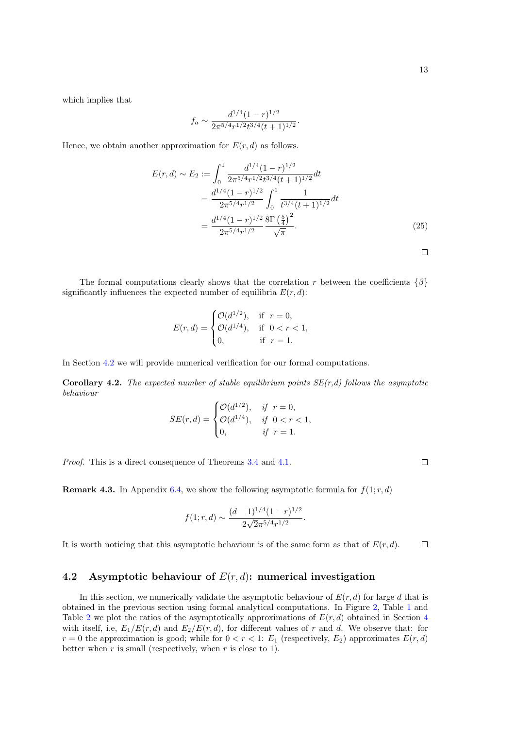$\Box$ 

which implies that

$$
f_a \sim \frac{d^{1/4} (1-r)^{1/2}}{2\pi^{5/4} r^{1/2} t^{3/4} (t+1)^{1/2}}.
$$

Hence, we obtain another approximation for  $E(r, d)$  as follows.

$$
E(r,d) \sim E_2 := \int_0^1 \frac{d^{1/4} (1-r)^{1/2}}{2\pi^{5/4} r^{1/2} t^{3/4} (t+1)^{1/2}} dt
$$
  
= 
$$
\frac{d^{1/4} (1-r)^{1/2}}{2\pi^{5/4} r^{1/2}} \int_0^1 \frac{1}{t^{3/4} (t+1)^{1/2}} dt
$$
  
= 
$$
\frac{d^{1/4} (1-r)^{1/2}}{2\pi^{5/4} r^{1/2}} \frac{8\Gamma\left(\frac{5}{4}\right)^2}{\sqrt{\pi}}.
$$
 (25)

The formal computations clearly shows that the correlation r between the coefficients  $\{\beta\}$ significantly influences the expected number of equilibria  $E(r, d)$ :

$$
E(r,d) = \begin{cases} \mathcal{O}(d^{1/2}), & \text{if } r = 0, \\ \mathcal{O}(d^{1/4}), & \text{if } 0 < r < 1, \\ 0, & \text{if } r = 1. \end{cases}
$$

In Section [4.2](#page-12-0) we will provide numerical verification for our formal computations.

**Corollary 4.2.** The expected number of stable equilibrium points  $SE(r,d)$  follows the asymptotic behaviour

$$
SE(r, d) = \begin{cases} \mathcal{O}(d^{1/2}), & \text{if } r = 0, \\ \mathcal{O}(d^{1/4}), & \text{if } 0 < r < 1, \\ 0, & \text{if } r = 1. \end{cases}
$$

Proof. This is a direct consequence of Theorems [3.4](#page-7-0) and [4.1.](#page-10-0)

**Remark 4.3.** In Appendix [6.4,](#page-17-1) we show the following asymptotic formula for  $f(1; r, d)$ 

$$
f(1; r, d) \sim \frac{(d-1)^{1/4}(1-r)^{1/2}}{2\sqrt{2}\pi^{5/4}r^{1/2}}.
$$

It is worth noticing that this asymptotic behaviour is of the same form as that of  $E(r, d)$ .  $\Box$ 

#### <span id="page-12-0"></span>4.2 Asymptotic behaviour of  $E(r, d)$ : numerical investigation

In this section, we numerically validate the asymptotic behaviour of  $E(r, d)$  for large d that is obtained in the previous section using formal analytical computations. In Figure [2,](#page-13-0) Table [1](#page-13-1) and Table [2](#page-13-2) we plot the ratios of the asymptotically approximations of  $E(r, d)$  obtained in Section [4](#page-10-1) with itself, i.e,  $E_1/E(r, d)$  and  $E_2/E(r, d)$ , for different values of r and d. We observe that: for  $r = 0$  the approximation is good; while for  $0 < r < 1$ :  $E_1$  (respectively,  $E_2$ ) approximates  $E(r, d)$ better when  $r$  is small (respectively, when  $r$  is close to 1).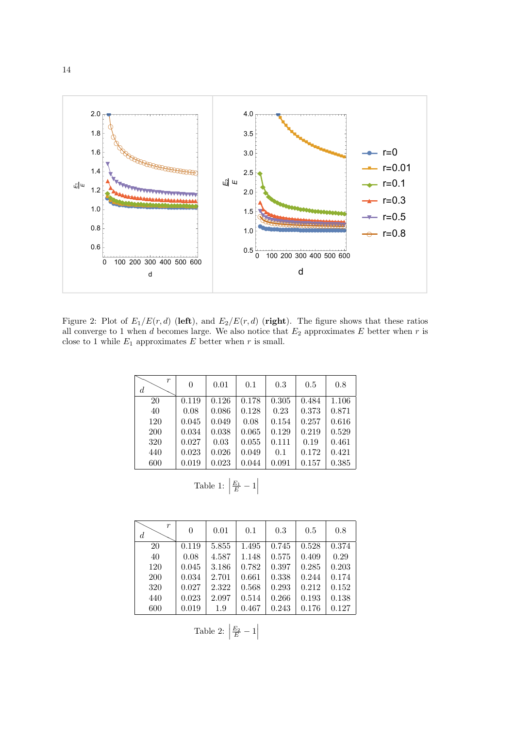

Figure 2: Plot of  $E_1/E(r, d)$  (left), and  $E_2/E(r, d)$  (right). The figure shows that these ratios all converge to 1 when d becomes large. We also notice that  $E_2$  approximates E better when r is close to 1 while  $E_1$  approximates  $E$  better when  $r$  is small.

<span id="page-13-0"></span>

| r<br>d     | $\overline{0}$ | 0.01  | 0.1   | 0.3   | 0.5   | 0.8   |
|------------|----------------|-------|-------|-------|-------|-------|
| 20         | 0.119          | 0.126 | 0.178 | 0.305 | 0.484 | 1.106 |
| 40         | 0.08           | 0.086 | 0.128 | 0.23  | 0.373 | 0.871 |
| 120        | 0.045          | 0.049 | 0.08  | 0.154 | 0.257 | 0.616 |
| <b>200</b> | 0.034          | 0.038 | 0.065 | 0.129 | 0.219 | 0.529 |
| 320        | 0.027          | 0.03  | 0.055 | 0.111 | 0.19  | 0.461 |
| 440        | 0.023          | 0.026 | 0.049 | 0.1   | 0.172 | 0.421 |
| 600        | 0.019          | 0.023 | 0.044 | 0.091 | 0.157 | 0.385 |

Table 1:  $\Big|$  $\frac{E_1}{E}-1$ 

<span id="page-13-2"></span><span id="page-13-1"></span>

| r<br>$\boldsymbol{d}$ | $\theta$ | 0.01  | 0.1   | 0.3   | 0.5   | 0.8   |
|-----------------------|----------|-------|-------|-------|-------|-------|
| 20                    | 0.119    | 5.855 | 1.495 | 0.745 | 0.528 | 0.374 |
| 40                    | 0.08     | 4.587 | 1.148 | 0.575 | 0.409 | 0.29  |
| 120                   | 0.045    | 3.186 | 0.782 | 0.397 | 0.285 | 0.203 |
| 200                   | 0.034    | 2.701 | 0.661 | 0.338 | 0.244 | 0.174 |
| 320                   | 0.027    | 2.322 | 0.568 | 0.293 | 0.212 | 0.152 |
| 440                   | 0.023    | 2.097 | 0.514 | 0.266 | 0.193 | 0.138 |
| 600                   | 0.019    | 1.9   | 0.467 | 0.243 | 0.176 | 0.127 |
|                       |          |       |       |       |       |       |

$$
Table 2: \left| \frac{E_2}{E} - 1 \right|
$$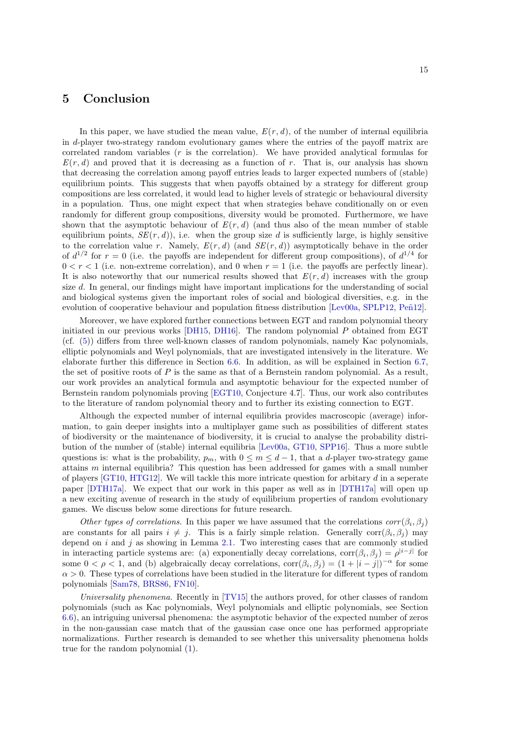### <span id="page-14-0"></span>5 Conclusion

In this paper, we have studied the mean value,  $E(r, d)$ , of the number of internal equilibria in d-player two-strategy random evolutionary games where the entries of the payoff matrix are correlated random variables (r is the correlation). We have provided analytical formulas for  $E(r, d)$  and proved that it is decreasing as a function of r. That is, our analysis has shown that decreasing the correlation among payoff entries leads to larger expected numbers of (stable) equilibrium points. This suggests that when payoffs obtained by a strategy for different group compositions are less correlated, it would lead to higher levels of strategic or behavioural diversity in a population. Thus, one might expect that when strategies behave conditionally on or even randomly for different group compositions, diversity would be promoted. Furthermore, we have shown that the asymptotic behaviour of  $E(r, d)$  (and thus also of the mean number of stable equilibrium points,  $SE(r, d)$ , i.e. when the group size d is sufficiently large, is highly sensitive to the correlation value r. Namely,  $E(r, d)$  (and  $SE(r, d)$ ) asymptotically behave in the order of  $d^{1/2}$  for  $r = 0$  (i.e. the payoffs are independent for different group compositions), of  $d^{1/4}$  for  $0 < r < 1$  (i.e. non-extreme correlation), and 0 when  $r = 1$  (i.e. the payoffs are perfectly linear). It is also noteworthy that our numerical results showed that  $E(r, d)$  increases with the group size d. In general, our findings might have important implications for the understanding of social and biological systems given the important roles of social and biological diversities, e.g. in the evolution of cooperative behaviour and population fitness distribution [\[Lev00a,](#page-25-17) [SPLP12,](#page-26-7) Peñ12].

Moreover, we have explored further connections between EGT and random polynomial theory initiated in our previous works [\[DH15,](#page-23-5) [DH16\]](#page-23-6). The random polynomial P obtained from EGT (cf. [\(5\)](#page-3-0)) differs from three well-known classes of random polynomials, namely Kac polynomials, elliptic polynomials and Weyl polynomials, that are investigated intensively in the literature. We elaborate further this difference in Section [6.6.](#page-21-0) In addition, as will be explained in Section [6.7,](#page-22-0) the set of positive roots of  $P$  is the same as that of a Bernstein random polynomial. As a result, our work provides an analytical formula and asymptotic behaviour for the expected number of Bernstein random polynomials proving [\[EGT10,](#page-24-14) Conjecture 4.7]. Thus, our work also contributes to the literature of random polynomial theory and to further its existing connection to EGT.

Although the expected number of internal equilibria provides macroscopic (average) information, to gain deeper insights into a multiplayer game such as possibilities of different states of biodiversity or the maintenance of biodiversity, it is crucial to analyse the probability distribution of the number of (stable) internal equilibria [\[Lev00a,](#page-25-17) [GT10,](#page-24-2) [SPP16\]](#page-26-13). Thus a more subtle questions is: what is the probability,  $p_m$ , with  $0 \leq m \leq d-1$ , that a d-player two-strategy game attains m internal equilibria? This question has been addressed for games with a small number of players [\[GT10,](#page-24-2) [HTG12\]](#page-25-8). We will tackle this more intricate question for arbitary d in a seperate paper [\[DTH17a\]](#page-24-17). We expect that our work in this paper as well as in [\[DTH17a\]](#page-24-17) will open up a new exciting avenue of research in the study of equilibrium properties of random evolutionary games. We discuss below some directions for future research.

Other types of correlations. In this paper we have assumed that the correlations  $corr(\beta_i, \beta_j)$ are constants for all pairs  $i \neq j$ . This is a fairly simple relation. Generally corr $(\beta_i, \beta_j)$  may depend on  $i$  and  $j$  as showing in Lemma [2.1.](#page-4-0) Two interesting cases that are commonly studied in interacting particle systems are: (a) exponentially decay correlations,  $\text{corr}(\beta_i, \beta_j) = \rho^{|i-j|}$  for some  $0 < \rho < 1$ , and (b) algebraically decay correlations,  $\text{corr}(\beta_i, \beta_j) = (1 + |i - j|)^{-\alpha}$  for some  $\alpha > 0$ . These types of correlations have been studied in the literature for different types of random polynomials [\[Sam78,](#page-26-14) [BRS86,](#page-23-11) [FN10\]](#page-24-12).

Universality phenomena. Recently in [\[TV15\]](#page-26-15) the authors proved, for other classes of random polynomials (such as Kac polynomials, Weyl polynomials and elliptic polynomials, see Section [6.6\)](#page-21-0), an intriguing universal phenomena: the asymptotic behavior of the expected number of zeros in the non-gaussian case match that of the gaussian case once one has performed appropriate normalizations. Further research is demanded to see whether this universality phenomena holds true for the random polynomial [\(1\)](#page-1-0).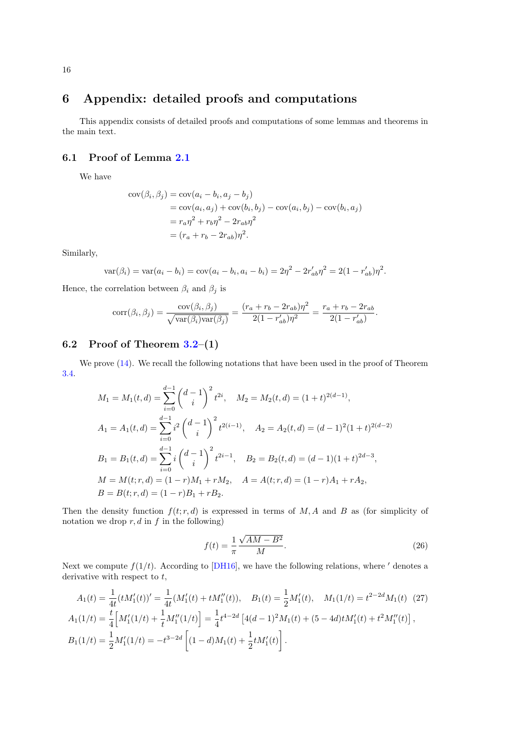# <span id="page-15-0"></span>6 Appendix: detailed proofs and computations

This appendix consists of detailed proofs and computations of some lemmas and theorems in the main text.

### <span id="page-15-1"></span>6.1 Proof of Lemma [2.1](#page-4-0)

We have

$$
cov(\beta_i, \beta_j) = cov(a_i - b_i, a_j - b_j)
$$
  
=  $cov(a_i, a_j) + cov(b_i, b_j) - cov(a_i, b_j) - cov(b_i, a_j)$   
=  $r_a \eta^2 + r_b \eta^2 - 2r_{ab} \eta^2$   
=  $(r_a + r_b - 2r_{ab})\eta^2$ .

Similarly,

$$
var(\beta_i) = var(a_i - b_i) = cov(a_i - b_i, a_i - b_i) = 2\eta^2 - 2r'_{ab}\eta^2 = 2(1 - r'_{ab})\eta^2.
$$

Hence, the correlation between  $\beta_i$  and  $\beta_j$  is

$$
corr(\beta_i, \beta_j) = \frac{cov(\beta_i, \beta_j)}{\sqrt{var(\beta_i)var(\beta_j)}} = \frac{(r_a + r_b - 2r_{ab})\eta^2}{2(1 - r'_{ab})\eta^2} = \frac{r_a + r_b - 2r_{ab}}{2(1 - r'_{ab})}.
$$

### <span id="page-15-2"></span>6.2 Proof of Theorem  $3.2-(1)$

We prove [\(14\)](#page-6-3). We recall the following notations that have been used in the proof of Theorem [3.4.](#page-7-0)

$$
M_1 = M_1(t, d) = \sum_{i=0}^{d-1} {d-1 \choose i}^2 t^{2i}, \quad M_2 = M_2(t, d) = (1+t)^{2(d-1)},
$$
  
\n
$$
A_1 = A_1(t, d) = \sum_{i=0}^{d-1} i^2 {d-1 \choose i}^2 t^{2(i-1)}, \quad A_2 = A_2(t, d) = (d-1)^2 (1+t)^{2(d-2)}
$$
  
\n
$$
B_1 = B_1(t, d) = \sum_{i=0}^{d-1} i {d-1 \choose i}^2 t^{2i-1}, \quad B_2 = B_2(t, d) = (d-1)(1+t)^{2d-3},
$$
  
\n
$$
M = M(t; r, d) = (1-r)M_1 + rM_2, \quad A = A(t; r, d) = (1-r)A_1 + rA_2,
$$
  
\n
$$
B = B(t; r, d) = (1-r)B_1 + rB_2.
$$

Then the density function  $f(t; r, d)$  is expressed in terms of M, A and B as (for simplicity of notation we drop  $r, d$  in  $f$  in the following)

<span id="page-15-4"></span><span id="page-15-3"></span>
$$
f(t) = \frac{1}{\pi} \frac{\sqrt{AM - B^2}}{M}.
$$
\n
$$
(26)
$$

Next we compute  $f(1/t)$ . According to [\[DH16\]](#page-23-6), we have the following relations, where ' denotes a derivative with respect to  $t$ ,

$$
A_1(t) = \frac{1}{4t}(tM_1'(t))' = \frac{1}{4t}(M_1'(t) + tM_1''(t)), \quad B_1(t) = \frac{1}{2}M_1'(t), \quad M_1(1/t) = t^{2-2d}M_1(t) \quad (27)
$$
  
\n
$$
A_1(1/t) = \frac{t}{4}\Big[M_1'(1/t) + \frac{1}{t}M_1''(1/t)\Big] = \frac{1}{4}t^{4-2d}\left[4(d-1)^2M_1(t) + (5-4d)tM_1'(t) + t^2M_1''(t)\right],
$$
  
\n
$$
B_1(1/t) = \frac{1}{2}M_1'(1/t) = -t^{3-2d}\left[(1-d)M_1(t) + \frac{1}{2}tM_1'(t)\right].
$$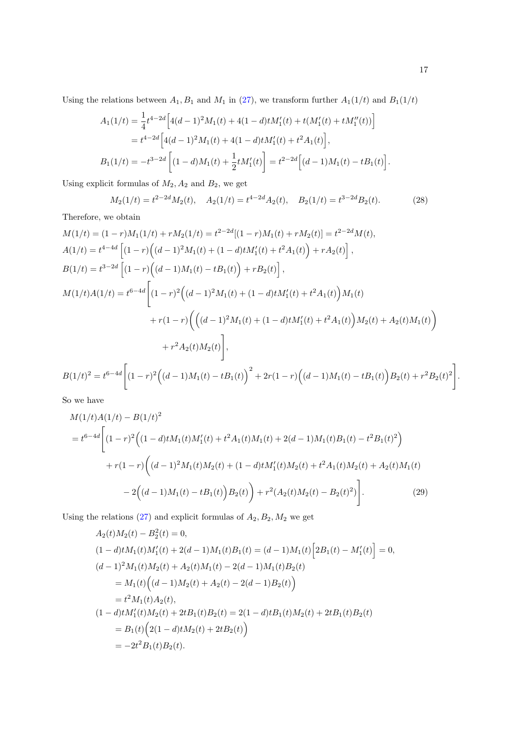Using the relations between  $A_1, B_1$  and  $M_1$  in [\(27\)](#page-15-3), we transform further  $A_1(1/t)$  and  $B_1(1/t)$ 

$$
A_1(1/t) = \frac{1}{4}t^{4-2d} \Big[ 4(d-1)^2 M_1(t) + 4(1-d)t M_1'(t) + t(M_1'(t) + tM_1''(t)) \Big]
$$
  
=  $t^{4-2d} \Big[ 4(d-1)^2 M_1(t) + 4(1-d)t M_1'(t) + t^2 A_1(t) \Big],$   

$$
B_1(1/t) = -t^{3-2d} \Big[ (1-d) M_1(t) + \frac{1}{2}t M_1'(t) \Big] = t^{2-2d} \Big[ (d-1) M_1(t) - t B_1(t) \Big].
$$

Using explicit formulas of  $M_2$ ,  $A_2$  and  $B_2$ , we get

$$
M_2(1/t) = t^{2-2d} M_2(t), \quad A_2(1/t) = t^{4-2d} A_2(t), \quad B_2(1/t) = t^{3-2d} B_2(t).
$$
 (28)

Therefore, we obtain

$$
M(1/t) = (1 - r)M_1(1/t) + rM_2(1/t) = t^{2-2d}[(1 - r)M_1(t) + rM_2(t)] = t^{2-2d}M(t),
$$
  
\n
$$
A(1/t) = t^{4-4d} [(1 - r) ((d - 1)^2 M_1(t) + (1 - d) tM_1'(t) + t^2 A_1(t)) + rA_2(t)],
$$
  
\n
$$
B(1/t) = t^{3-2d} [(1 - r) ((d - 1)M_1(t) - tB_1(t)) + rB_2(t)],
$$
  
\n
$$
M(1/t)A(1/t) = t^{6-4d} [(1 - r)^2 ((d - 1)^2 M_1(t) + (1 - d) tM_1'(t) + t^2 A_1(t)) M_1(t) + r(1 - r) ((d - 1)^2 M_1(t) + (1 - d) tM_1'(t) + t^2 A_1(t)) M_2(t) + A_2(t)M_1(t)) + r^2 A_2(t)M_2(t)],
$$
  
\n
$$
B(1/t)^2 = t^{6-4d} [(1 - r)^2 ((d - 1)M_1(t) - tB_1(t))^2 + 2r(1 - r) ((d - 1)M_1(t) - tB_1(t)) B_2(t) + r^2 B_2(t)^2)]
$$

So we have

$$
M(1/t)A(1/t) - B(1/t)^{2}
$$
  
=  $t^{6-4d}$   $\bigg[ (1-r)^{2} \Big( (1-d)tM_{1}(t)M'_{1}(t) + t^{2}A_{1}(t)M_{1}(t) + 2(d-1)M_{1}(t)B_{1}(t) - t^{2}B_{1}(t)^{2} \Big)$   
+  $r(1-r) \Big( (d-1)^{2}M_{1}(t)M_{2}(t) + (1-d)tM'_{1}(t)M_{2}(t) + t^{2}A_{1}(t)M_{2}(t) + A_{2}(t)M_{1}(t)$   
-  $2 \Big( (d-1)M_{1}(t) - tB_{1}(t) \Big)B_{2}(t) \bigg) + r^{2} (A_{2}(t)M_{2}(t) - B_{2}(t)^{2}) \bigg].$  (29)

Using the relations [\(27\)](#page-15-3) and explicit formulas of  $A_2, B_2, M_2$  we get

$$
A_2(t)M_2(t) - B_2^2(t) = 0,
$$
  
\n
$$
(1-d)tM_1(t)M'_1(t) + 2(d-1)M_1(t)B_1(t) = (d-1)M_1(t)[2B_1(t) - M'_1(t)] = 0,
$$
  
\n
$$
(d-1)^2M_1(t)M_2(t) + A_2(t)M_1(t) - 2(d-1)M_1(t)B_2(t)
$$
  
\n
$$
= M_1(t)(d-1)M_2(t) + A_2(t) - 2(d-1)B_2(t))
$$
  
\n
$$
= t^2M_1(t)A_2(t),
$$
  
\n
$$
(1-d)tM'_1(t)M_2(t) + 2tB_1(t)B_2(t) = 2(1-d)tB_1(t)M_2(t) + 2tB_1(t)B_2(t)
$$
  
\n
$$
= B_1(t)(2(1-d)tM_2(t) + 2tB_2(t))
$$
  
\n
$$
= -2t^2B_1(t)B_2(t).
$$

<span id="page-16-0"></span>.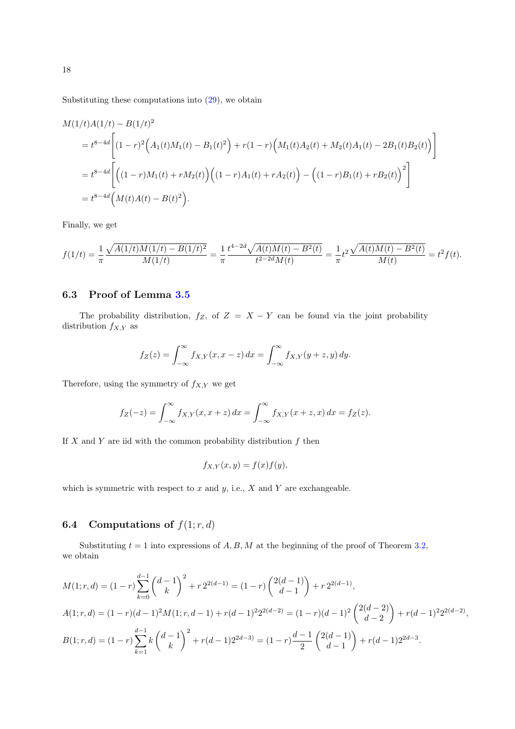Substituting these computations into  $(29)$ , we obtain

$$
M(1/t)A(1/t) - B(1/t)^{2}
$$
  
=  $t^{8-4d} \left[ (1-r)^{2} (A_{1}(t)M_{1}(t) - B_{1}(t)^{2}) + r(1-r) (M_{1}(t)A_{2}(t) + M_{2}(t)A_{1}(t) - 2B_{1}(t)B_{2}(t)) \right]$   
=  $t^{8-4d} \left[ ((1-r)M_{1}(t) + rM_{2}(t)) ((1-r)A_{1}(t) + rA_{2}(t)) - ((1-r)B_{1}(t) + rB_{2}(t))^{2} \right]$   
=  $t^{8-4d} (M(t)A(t) - B(t)^{2}).$ 

Finally, we get

$$
f(1/t) = \frac{1}{\pi} \frac{\sqrt{A(1/t)M(1/t) - B(1/t)^2}}{M(1/t)} = \frac{1}{\pi} \frac{t^{4-2d}\sqrt{A(t)M(t) - B^2(t)}}{t^{2-2d}M(t)} = \frac{1}{\pi}t^2 \frac{\sqrt{A(t)M(t) - B^2(t)}}{M(t)} = t^2 f(t).
$$

### <span id="page-17-0"></span>6.3 Proof of Lemma [3.5](#page-8-0)

The probability distribution,  $f_Z$ , of  $Z = X - Y$  can be found via the joint probability distribution  $f_{X,Y}$  as

$$
f_Z(z) = \int_{-\infty}^{\infty} f_{X,Y}(x, x - z) dx = \int_{-\infty}^{\infty} f_{X,Y}(y + z, y) dy.
$$

Therefore, using the symmetry of  $f_{X,Y}$  we get

$$
f_Z(-z) = \int_{-\infty}^{\infty} f_{X,Y}(x, x+z) \, dx = \int_{-\infty}^{\infty} f_{X,Y}(x+z, x) \, dx = f_Z(z).
$$

If  $X$  and  $Y$  are iid with the common probability distribution  $f$  then

$$
f_{X,Y}(x,y) = f(x)f(y),
$$

which is symmetric with respect to  $x$  and  $y$ , i.e.,  $X$  and  $Y$  are exchangeable.

# <span id="page-17-1"></span>**6.4** Computations of  $f(1; r, d)$

Substituting  $t = 1$  into expressions of  $A, B, M$  at the beginning of the proof of Theorem [3.2,](#page-0-0) we obtain

$$
M(1;r,d) = (1-r)\sum_{k=0}^{d-1} {d-1 \choose k}^2 + r2^{2(d-1)} = (1-r){2(d-1) \choose d-1} + r2^{2(d-1)},
$$
  
\n
$$
A(1;r,d) = (1-r)(d-1)^2 M(1;r,d-1) + r(d-1)^2 2^{2(d-2)} = (1-r)(d-1)^2 {2(d-2) \choose d-2} + r(d-1)^2 2^{2(d-2)},
$$
  
\n
$$
B(1;r,d) = (1-r)\sum_{k=1}^{d-1} k {d-1 \choose k}^2 + r(d-1)2^{2d-3} = (1-r)\frac{d-1}{2} {2(d-1) \choose d-1} + r(d-1)2^{2d-3}.
$$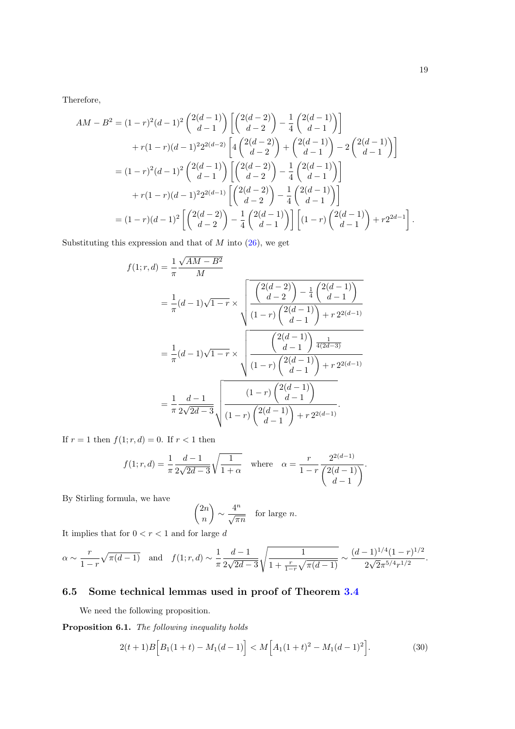Therefore,

$$
AM - B^{2} = (1 - r)^{2} (d - 1)^{2} {2(d - 1) \choose d - 1} \left[ {2(d - 2) \choose d - 2} - \frac{1}{4} {2(d - 1) \choose d - 1} \right]
$$
  
+ 
$$
r(1 - r)(d - 1)^{2} 2^{2(d - 2)} \left[ 4 {2(d - 2) \choose d - 2} + {2(d - 1) \choose d - 1} - 2 {2(d - 1) \choose d - 1} \right]
$$
  
= 
$$
(1 - r)^{2} (d - 1)^{2} {2(d - 1) \choose d - 1} \left[ {2(d - 2) \choose d - 2} - \frac{1}{4} {2(d - 1) \choose d - 1} \right]
$$
  
+ 
$$
r(1 - r)(d - 1)^{2} 2^{2(d - 1)} \left[ {2(d - 2) \choose d - 2} - \frac{1}{4} {2(d - 1) \choose d - 1} \right]
$$
  
= 
$$
(1 - r)(d - 1)^{2} \left[ {2(d - 2) \choose d - 2} - \frac{1}{4} {2(d - 1) \choose d - 1} \right] \left[ (1 - r) {2(d - 1) \choose d - 1} + r2^{2d - 1} \right].
$$

Substituting this expression and that of  $M$  into  $(26)$ , we get

$$
f(1;r,d) = \frac{1}{\pi} \frac{\sqrt{AM - B^2}}{M}
$$
  
=  $\frac{1}{\pi} (d-1) \sqrt{1-r} \times \sqrt{\frac{\binom{2(d-2)}{d-2} - \frac{1}{4} \binom{2(d-1)}{d-1}}{\binom{1-r}{d-1} + r \cdot 2^{2(d-1)}}}$   
=  $\frac{1}{\pi} (d-1) \sqrt{1-r} \times \sqrt{\frac{\binom{2(d-1)}{d-1} + r \cdot 2^{2(d-1)}\binom{1}{d-1}}{\binom{1-r}{d-1} + r \cdot 2^{2(d-1)}}}$   
=  $\frac{1}{\pi} \frac{d-1}{2\sqrt{2d-3}} \sqrt{\frac{\binom{1-r}{d-1} \binom{2(d-1)}{d-1} + r \cdot 2^{2(d-1)}\binom{1-r}{d-1}}{\binom{2(d-1)}{d-1} + r \cdot 2^{2(d-1)}}}$ .

If  $r = 1$  then  $f(1; r, d) = 0$ . If  $r < 1$  then

$$
f(1;r,d) = \frac{1}{\pi} \frac{d-1}{2\sqrt{2d-3}} \sqrt{\frac{1}{1+\alpha}} \quad \text{where} \quad \alpha = \frac{r}{1-r} \frac{2^{2(d-1)}}{\binom{2(d-1)}{d-1}}.
$$

By Stirling formula, we have

$$
\binom{2n}{n} \sim \frac{4^n}{\sqrt{\pi n}} \quad \text{for large } n.
$$

It implies that for  $0 < r < 1$  and for large d

$$
\alpha \sim \frac{r}{1-r} \sqrt{\pi (d-1)} \quad \text{and} \quad f(1;r,d) \sim \frac{1}{\pi} \frac{d-1}{2\sqrt{2d-3}} \sqrt{\frac{1}{1+\frac{r}{1-r} \sqrt{\pi (d-1)}}} \sim \frac{(d-1)^{1/4} (1-r)^{1/2}}{2\sqrt{2} \pi^{5/4} r^{1/2}}.
$$

### 6.5 Some technical lemmas used in proof of Theorem [3.4](#page-7-0)

We need the following proposition.

<span id="page-18-0"></span>Proposition 6.1. The following inequality holds

$$
2(t+1)B\Big[B_1(1+t) - M_1(d-1)\Big] < M\Big[A_1(1+t)^2 - M_1(d-1)^2\Big].\tag{30}
$$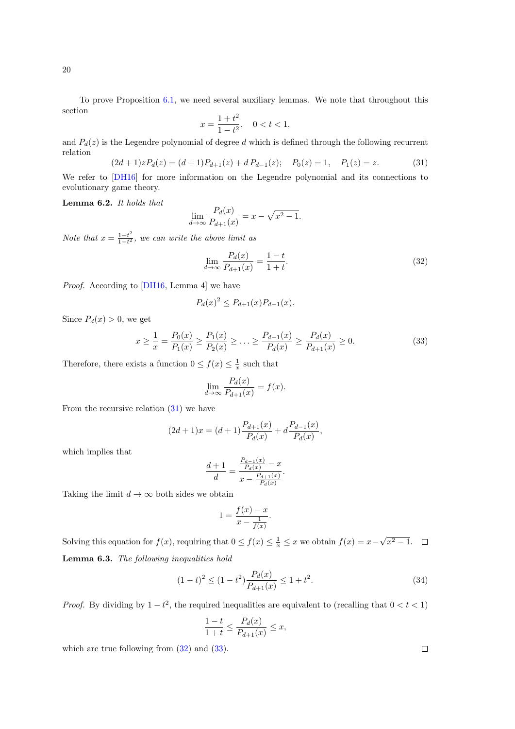To prove Proposition [6.1,](#page-18-0) we need several auxiliary lemmas. We note that throughout this section

$$
x = \frac{1+t^2}{1-t^2}, \quad 0 < t < 1,
$$

and  $P_d(z)$  is the Legendre polynomial of degree d which is defined through the following recurrent relation

<span id="page-19-0"></span>
$$
(2d+1)zP_d(z) = (d+1)P_{d+1}(z) + dP_{d-1}(z); \quad P_0(z) = 1, \quad P_1(z) = z.
$$
 (31)

We refer to  $[DH16]$  for more information on the Legendre polynomial and its connections to evolutionary game theory.

Lemma 6.2. It holds that

$$
\lim_{d \to \infty} \frac{P_d(x)}{P_{d+1}(x)} = x - \sqrt{x^2 - 1}.
$$

Note that  $x = \frac{1+t^2}{1-t^2}$  $\frac{1+t^2}{1-t^2}$ , we can write the above limit as

<span id="page-19-1"></span>
$$
\lim_{d \to \infty} \frac{P_d(x)}{P_{d+1}(x)} = \frac{1-t}{1+t}.
$$
\n(32)

Proof. According to [\[DH16,](#page-23-6) Lemma 4] we have

$$
P_d(x)^2 \le P_{d+1}(x)P_{d-1}(x).
$$

Since  $P_d(x) > 0$ , we get

<span id="page-19-2"></span>
$$
x \ge \frac{1}{x} = \frac{P_0(x)}{P_1(x)} \ge \frac{P_1(x)}{P_2(x)} \ge \dots \ge \frac{P_{d-1}(x)}{P_d(x)} \ge \frac{P_d(x)}{P_{d+1}(x)} \ge 0.
$$
\n(33)

Therefore, there exists a function  $0 \le f(x) \le \frac{1}{x}$  such that

$$
\lim_{d \to \infty} \frac{P_d(x)}{P_{d+1}(x)} = f(x).
$$

From the recursive relation [\(31\)](#page-19-0) we have

$$
(2d+1)x = (d+1)\frac{P_{d+1}(x)}{P_d(x)} + d\frac{P_{d-1}(x)}{P_d(x)},
$$

which implies that

$$
\frac{d+1}{d} = \frac{\frac{P_{d-1}(x)}{P_d(x)} - x}{x - \frac{P_{d+1}(x)}{P_d(x)}}.
$$

Taking the limit  $d \to \infty$  both sides we obtain

$$
1 = \frac{f(x) - x}{x - \frac{1}{f(x)}}.
$$

<span id="page-19-3"></span>Solving this equation for  $f(x)$ , requiring that  $0 \le f(x) \le \frac{1}{x} \le x$  we obtain  $f(x) = x -$ √  $x^2 - 1$ . Lemma 6.3. The following inequalities hold

$$
(1-t)^2 \le (1-t^2) \frac{P_d(x)}{P_{d+1}(x)} \le 1+t^2. \tag{34}
$$

*Proof.* By dividing by  $1-t^2$ , the required inequalities are equivalent to (recalling that  $0 < t < 1$ )

$$
\frac{1-t}{1+t} \le \frac{P_d(x)}{P_{d+1}(x)} \le x,
$$

which are true following from  $(32)$  and  $(33)$ .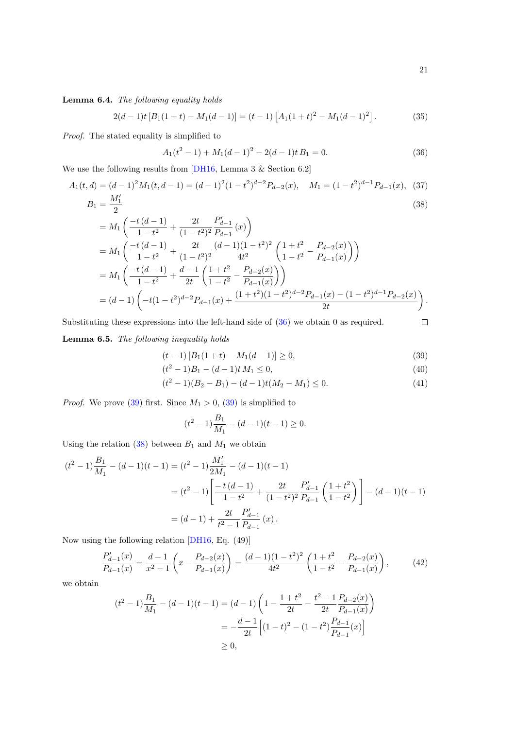<span id="page-20-4"></span><span id="page-20-3"></span><span id="page-20-2"></span><span id="page-20-1"></span> $\Box$ 

<span id="page-20-5"></span>Lemma 6.4. The following equality holds

 $2(d-1)t [B_1(1+t) - M_1(d-1)] = (t-1) [A_1(1+t)^2 - M_1(d-1)^2]$ . (35)

Proof. The stated equality is simplified to

<span id="page-20-0"></span>
$$
A_1(t^2 - 1) + M_1(d - 1)^2 - 2(d - 1)t B_1 = 0.
$$
\n(36)

We use the following results from [\[DH16,](#page-23-6) Lemma 3 & Section 6.2]

$$
A_1(t,d) = (d-1)^2 M_1(t,d-1) = (d-1)^2 (1-t^2)^{d-2} P_{d-2}(x), \quad M_1 = (1-t^2)^{d-1} P_{d-1}(x), \tag{37}
$$

$$
B_1 = \frac{M'_1}{2} \tag{38}
$$

$$
= M_{1} \left( \frac{-t (d - 1)}{1 - t^{2}} + \frac{2t}{(1 - t^{2})^{2}} \frac{P'_{d-1}}{P_{d-1}} (x) \right)
$$
  
\n
$$
= M_{1} \left( \frac{-t (d - 1)}{1 - t^{2}} + \frac{2t}{(1 - t^{2})^{2}} \frac{(d - 1)(1 - t^{2})^{2}}{4t^{2}} \left( \frac{1 + t^{2}}{1 - t^{2}} - \frac{P_{d-2}(x)}{P_{d-1}(x)} \right) \right)
$$
  
\n
$$
= M_{1} \left( \frac{-t (d - 1)}{1 - t^{2}} + \frac{d - 1}{2t} \left( \frac{1 + t^{2}}{1 - t^{2}} - \frac{P_{d-2}(x)}{P_{d-1}(x)} \right) \right)
$$
  
\n
$$
= (d - 1) \left( -t(1 - t^{2})^{d-2} P_{d-1}(x) + \frac{(1 + t^{2})(1 - t^{2})^{d-2} P_{d-1}(x) - (1 - t^{2})^{d-1} P_{d-2}(x)}{2t} \right).
$$

Substituting these expressions into the left-hand side of  $(36)$  we obtain 0 as required.

<span id="page-20-6"></span>Lemma 6.5. The following inequality holds

$$
(t-1)\left[B_1(1+t) - M_1(d-1)\right] \ge 0,\tag{39}
$$

$$
(t2 - 1)B1 - (d - 1)t M1 \le 0,
$$
\n(40)

$$
(t2 - 1)(B2 - B1) - (d - 1)t(M2 - M1) \le 0.
$$
 (41)

*Proof.* We prove [\(39\)](#page-20-1) first. Since  $M_1 > 0$ , (39) is simplified to

$$
(t2 - 1)\frac{B_1}{M_1} - (d - 1)(t - 1) \ge 0.
$$

Using the relation [\(38\)](#page-20-2) between  $B_1$  and  $M_1$  we obtain

$$
(t^2 - 1)\frac{B_1}{M_1} - (d - 1)(t - 1) = (t^2 - 1)\frac{M'_1}{2M_1} - (d - 1)(t - 1)
$$
  
=  $(t^2 - 1)\left[\frac{-t(d - 1)}{1 - t^2} + \frac{2t}{(1 - t^2)^2}\frac{P'_{d-1}}{P_{d-1}}\left(\frac{1 + t^2}{1 - t^2}\right)\right] - (d - 1)(t - 1)$   
=  $(d - 1) + \frac{2t}{t^2 - 1}\frac{P'_{d-1}}{P_{d-1}}(x).$ 

Now using the following relation [\[DH16,](#page-23-6) Eq. (49)]

$$
\frac{P_{d-1}'(x)}{P_{d-1}(x)} = \frac{d-1}{x^2 - 1} \left( x - \frac{P_{d-2}(x)}{P_{d-1}(x)} \right) = \frac{(d-1)(1-t^2)^2}{4t^2} \left( \frac{1+t^2}{1-t^2} - \frac{P_{d-2}(x)}{P_{d-1}(x)} \right),\tag{42}
$$

we obtain

$$
(t^{2} - 1)\frac{B_{1}}{M_{1}} - (d - 1)(t - 1) = (d - 1)\left(1 - \frac{1 + t^{2}}{2t} - \frac{t^{2} - 1}{2t}\frac{P_{d-2}(x)}{P_{d-1}(x)}\right)
$$
  
= 
$$
-\frac{d - 1}{2t}\left[(1 - t)^{2} - (1 - t^{2})\frac{P_{d-1}}{P_{d-1}}(x)\right]
$$
  

$$
\geq 0,
$$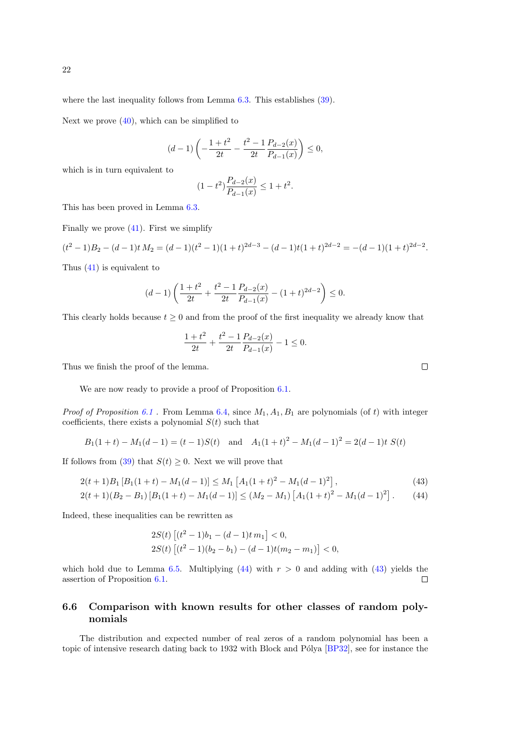Next we prove [\(40\)](#page-20-3), which can be simplified to

$$
(d-1)\left(-\frac{1+t^2}{2t}-\frac{t^2-1}{2t}\frac{P_{d-2}(x)}{P_{d-1}(x)}\right)\leq 0,
$$

which is in turn equivalent to

$$
(1 - t^2) \frac{P_{d-2}(x)}{P_{d-1}(x)} \le 1 + t^2.
$$

This has been proved in Lemma [6.3.](#page-19-3)

Finally we prove  $(41)$ . First we simplify

$$
(t2 - 1)B2 - (d - 1)t M2 = (d - 1)(t2 - 1)(1 + t)2d-3 - (d - 1)t(1 + t)2d-2 = -(d - 1)(1 + t)2d-2.
$$

Thus [\(41\)](#page-20-4) is equivalent to

$$
(d-1)\left(\frac{1+t^2}{2t} + \frac{t^2 - 1}{2t}\frac{P_{d-2}(x)}{P_{d-1}(x)} - (1+t)^{2d-2}\right) \le 0.
$$

This clearly holds because  $t > 0$  and from the proof of the first inequality we already know that

<span id="page-21-2"></span>
$$
\frac{1+t^2}{2t} + \frac{t^2 - 1}{2t} \frac{P_{d-2}(x)}{P_{d-1}(x)} - 1 \le 0.
$$

Thus we finish the proof of the lemma.

We are now ready to provide a proof of Proposition  $6.1$ .

*Proof of Proposition [6.1](#page-18-0)*. From Lemma [6.4,](#page-20-5) since  $M_1, A_1, B_1$  are polynomials (of t) with integer coefficients, there exists a polynomial  $S(t)$  such that

$$
B_1(1 + t) - M_1(d - 1) = (t - 1)S(t)
$$
 and  $A_1(1 + t)^2 - M_1(d - 1)^2 = 2(d - 1)t S(t)$ 

If follows from [\(39\)](#page-20-1) that  $S(t) \geq 0$ . Next we will prove that

$$
2(t+1)B_1 [B_1(1+t) - M_1(d-1)] \le M_1 [A_1(1+t)^2 - M_1(d-1)^2], \qquad (43)
$$

$$
2(t+1)(B_2 - B_1)[B_1(1+t) - M_1(d-1)] \le (M_2 - M_1)[A_1(1+t)^2 - M_1(d-1)^2].
$$
 (44)

Indeed, these inequalities can be rewritten as

<span id="page-21-1"></span>
$$
2S(t)\left[(t^2-1)b_1 - (d-1)t m_1\right] < 0,
$$
\n
$$
2S(t)\left[(t^2-1)(b_2 - b_1) - (d-1)t(m_2 - m_1)\right] < 0,
$$

which hold due to Lemma [6.5.](#page-20-6) Multiplying  $(44)$  with  $r > 0$  and adding with  $(43)$  yields the assertion of Proposition [6.1.](#page-18-0)  $\Box$ 

#### <span id="page-21-0"></span>6.6 Comparison with known results for other classes of random polynomials

The distribution and expected number of real zeros of a random polynomial has been a topic of intensive research dating back to 1932 with Block and Pólya [\[BP32\]](#page-23-14), see for instance the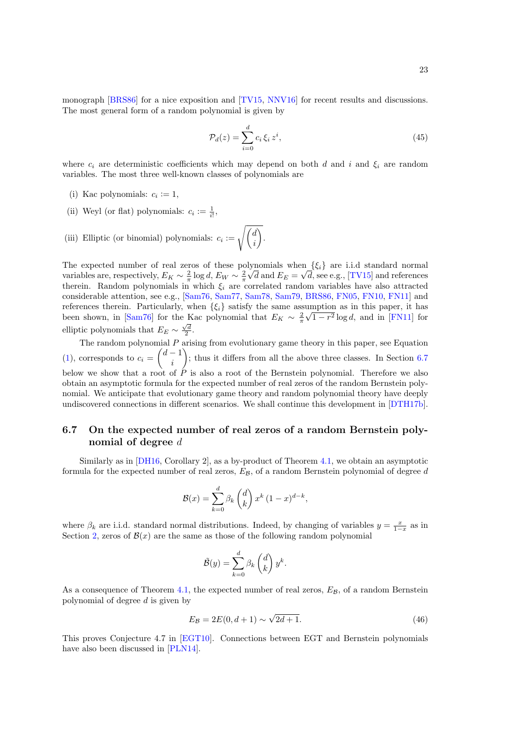monograph [\[BRS86\]](#page-23-11) for a nice exposition and [\[TV15,](#page-26-15) [NNV16\]](#page-25-18) for recent results and discussions. The most general form of a random polynomial is given by

$$
\mathcal{P}_d(z) = \sum_{i=0}^d c_i \,\xi_i \, z^i,\tag{45}
$$

where  $c_i$  are deterministic coefficients which may depend on both d and i and  $\xi_i$  are random variables. The most three well-known classes of polynomials are

- (i) Kac polynomials:  $c_i := 1$ ,
- (ii) Weyl (or flat) polynomials:  $c_i := \frac{1}{i!}$ ,
- (iii) Elliptic (or binomial) polynomials:  $c_i := \sqrt{\frac{d}{dx}}$ i .

The expected number of real zeros of these polynomials when  $\{\xi_i\}$  are i.i.d standard normal variables are, respectively,  $E_K \sim \frac{2}{\pi} \log d$ ,  $E_W \sim \frac{2}{\pi} \sqrt{d}$  and  $E_E = \sqrt{d}$ , see e.g., [\[TV15\]](#page-26-15) and references therein. Random polynomials in which  $\xi_i$  are correlated random variables have also attracted considerable attention, see e.g., [\[Sam76,](#page-25-15) [Sam77,](#page-26-16) [Sam78,](#page-26-14) [Sam79,](#page-26-17) [BRS86,](#page-23-11) [FN05,](#page-24-11) [FN10,](#page-24-12) [FN11\]](#page-24-13) and references therein. Particularly, when  $\{\xi_i\}$  satisfy the same assumption as in this paper, it has been shown, in [\[Sam76\]](#page-25-15) for the Kac polynomial that  $E_K \sim \frac{2}{\pi} \sqrt{1-r^2} \log d$ , and in [\[FN11\]](#page-24-13) for elliptic polynomials that  $E_E \sim \frac{\sqrt{d}}{2}$ .

The random polynomial  $P$  arising from evolutionary game theory in this paper, see Equation [\(1\)](#page-1-0), corresponds to  $c_i = \begin{pmatrix} d-1 \\ i \end{pmatrix}$ i ); thus it differs from all the above three classes. In Section  $6.7$ below we show that a root of  $\hat{P}$  is also a root of the Bernstein polynomial. Therefore we also obtain an asymptotic formula for the expected number of real zeros of the random Bernstein polynomial. We anticipate that evolutionary game theory and random polynomial theory have deeply undiscovered connections in different scenarios. We shall continue this development in [\[DTH17b\]](#page-24-16).

### <span id="page-22-0"></span>6.7 On the expected number of real zeros of a random Bernstein polynomial of degree d

Similarly as in [\[DH16,](#page-23-6) Corollary 2], as a by-product of Theorem [4.1,](#page-10-0) we obtain an asymptotic formula for the expected number of real zeros,  $E_{\mathcal{B}}$ , of a random Bernstein polynomial of degree d

$$
\mathcal{B}(x) = \sum_{k=0}^{d} \beta_k {d \choose k} x^k (1-x)^{d-k},
$$

where  $\beta_k$  are i.i.d. standard normal distributions. Indeed, by changing of variables  $y = \frac{x}{1-x}$  as in Section [2,](#page-3-1) zeros of  $\mathcal{B}(x)$  are the same as those of the following random polynomial

$$
\tilde{\mathcal{B}}(y) = \sum_{k=0}^{d} \beta_k \begin{pmatrix} d \\ k \end{pmatrix} y^k.
$$

As a consequence of Theorem [4.1,](#page-10-0) the expected number of real zeros,  $E_{\mathcal{B}}$ , of a random Bernstein polynomial of degree d is given by

$$
E_{\mathcal{B}} = 2E(0, d+1) \sim \sqrt{2d+1}.
$$
\n(46)

This proves Conjecture 4.7 in [\[EGT10\]](#page-24-14). Connections between EGT and Bernstein polynomials have also been discussed in [\[PLN14\]](#page-25-12).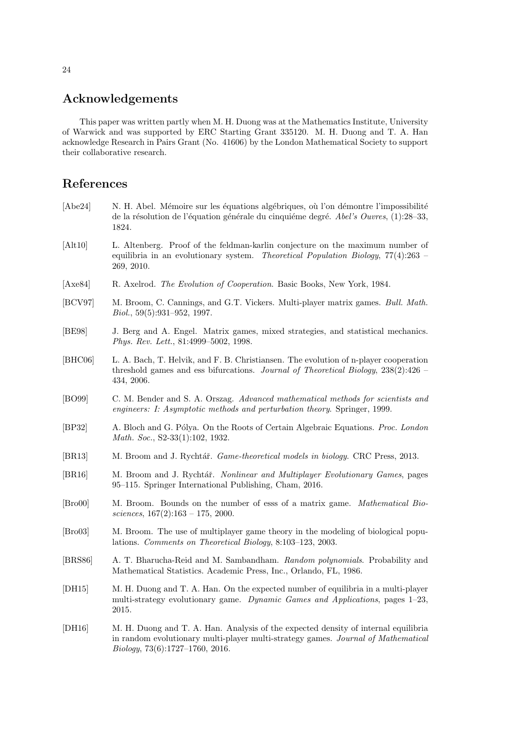### Acknowledgements

This paper was written partly when M. H. Duong was at the Mathematics Institute, University of Warwick and was supported by ERC Starting Grant 335120. M. H. Duong and T. A. Han acknowledge Research in Pairs Grant (No. 41606) by the London Mathematical Society to support their collaborative research.

### References

- <span id="page-23-9"></span>[Abe24] N. H. Abel. Mémoire sur les équations algébriques, où l'on démontre l'impossibilité de la résolution de l'équation générale du cinquième degré. Abel's Ouvres, (1):28–33, 1824.
- <span id="page-23-8"></span>[Alt10] L. Altenberg. Proof of the feldman-karlin conjecture on the maximum number of equilibria in an evolutionary system. Theoretical Population Biology,  $77(4):263$  – 269, 2010.
- <span id="page-23-0"></span>[Axe84] R. Axelrod. The Evolution of Cooperation. Basic Books, New York, 1984.
- <span id="page-23-3"></span>[BCV97] M. Broom, C. Cannings, and G.T. Vickers. Multi-player matrix games. Bull. Math. Biol., 59(5):931–952, 1997.
- <span id="page-23-10"></span>[BE98] J. Berg and A. Engel. Matrix games, mixed strategies, and statistical mechanics. Phys. Rev. Lett., 81:4999–5002, 1998.
- <span id="page-23-12"></span>[BHC06] L. A. Bach, T. Helvik, and F. B. Christiansen. The evolution of n-player cooperation threshold games and ess bifurcations. Journal of Theoretical Biology, 238(2):426 – 434, 2006.
- <span id="page-23-13"></span>[BO99] C. M. Bender and S. A. Orszag. Advanced mathematical methods for scientists and engineers: I: Asymptotic methods and perturbation theory. Springer, 1999.
- <span id="page-23-14"></span>[BP32] A. Bloch and G. Pólya. On the Roots of Certain Algebraic Equations. Proc. London Math. Soc., S2-33(1):102, 1932.
- <span id="page-23-1"></span>[BR13] M. Broom and J. Rychtář. Game-theoretical models in biology. CRC Press, 2013.
- <span id="page-23-2"></span>[BR16] M. Broom and J. Rychtář. Nonlinear and Multiplayer Evolutionary Games, pages 95–115. Springer International Publishing, Cham, 2016.
- <span id="page-23-7"></span>[Bro00] M. Broom. Bounds on the number of esss of a matrix game. Mathematical Biosciences,  $167(2):163 - 175$ , 2000.
- <span id="page-23-4"></span>[Bro03] M. Broom. The use of multiplayer game theory in the modeling of biological populations. Comments on Theoretical Biology, 8:103–123, 2003.
- <span id="page-23-11"></span>[BRS86] A. T. Bharucha-Reid and M. Sambandham. Random polynomials. Probability and Mathematical Statistics. Academic Press, Inc., Orlando, FL, 1986.
- <span id="page-23-5"></span>[DH15] M. H. Duong and T. A. Han. On the expected number of equilibria in a multi-player multi-strategy evolutionary game. Dynamic Games and Applications, pages 1–23, 2015.
- <span id="page-23-6"></span>[DH16] M. H. Duong and T. A. Han. Analysis of the expected density of internal equilibria in random evolutionary multi-player multi-strategy games. Journal of Mathematical Biology, 73(6):1727–1760, 2016.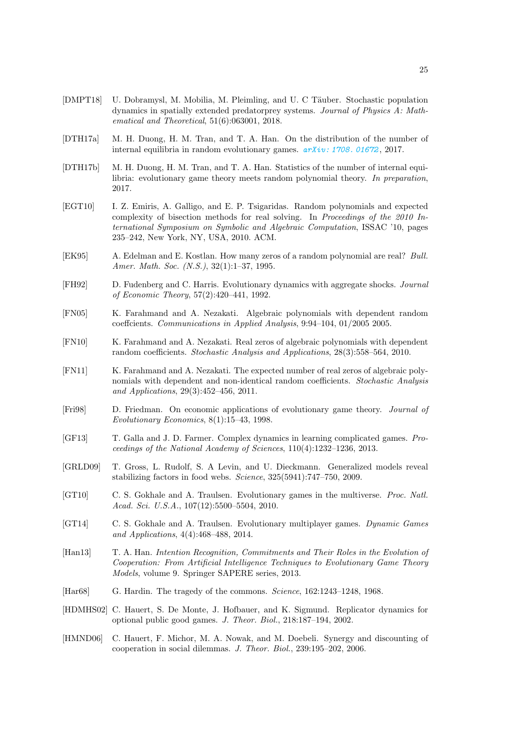- <span id="page-24-7"></span>[DMPT18] U. Dobramysl, M. Mobilia, M. Pleimling, and U. C Täuber. Stochastic population dynamics in spatially extended predatorprey systems. Journal of Physics A: Mathematical and Theoretical, 51(6):063001, 2018.
- <span id="page-24-17"></span>[DTH17a] M. H. Duong, H. M. Tran, and T. A. Han. On the distribution of the number of internal equilibria in random evolutionary games.  $a\overline{r}Xiv: 1708. 01672, 2017.$
- <span id="page-24-16"></span>[DTH17b] M. H. Duong, H. M. Tran, and T. A. Han. Statistics of the number of internal equilibria: evolutionary game theory meets random polynomial theory. In preparation, 2017.
- <span id="page-24-14"></span>[EGT10] I. Z. Emiris, A. Galligo, and E. P. Tsigaridas. Random polynomials and expected complexity of bisection methods for real solving. In Proceedings of the 2010 International Symposium on Symbolic and Algebraic Computation, ISSAC '10, pages 235–242, New York, NY, USA, 2010. ACM.
- <span id="page-24-15"></span>[EK95] A. Edelman and E. Kostlan. How many zeros of a random polynomial are real? Bull. Amer. Math. Soc. (N.S.), 32(1):1–37, 1995.
- <span id="page-24-5"></span>[FH92] D. Fudenberg and C. Harris. Evolutionary dynamics with aggregate shocks. Journal of Economic Theory, 57(2):420–441, 1992.
- <span id="page-24-11"></span>[FN05] K. Farahmand and A. Nezakati. Algebraic polynomials with dependent random coeffcients. Communications in Applied Analysis, 9:94–104, 01/2005 2005.
- <span id="page-24-12"></span>[FN10] K. Farahmand and A. Nezakati. Real zeros of algebraic polynomials with dependent random coefficients. Stochastic Analysis and Applications, 28(3):558–564, 2010.
- <span id="page-24-13"></span>[FN11] K. Farahmand and A. Nezakati. The expected number of real zeros of algebraic polynomials with dependent and non-identical random coefficients. Stochastic Analysis and Applications, 29(3):452–456, 2011.
- <span id="page-24-0"></span>[Fri98] D. Friedman. On economic applications of evolutionary game theory. Journal of Evolutionary Economics, 8(1):15–43, 1998.
- <span id="page-24-4"></span>[GF13] T. Galla and J. D. Farmer. Complex dynamics in learning complicated games. Proceedings of the National Academy of Sciences, 110(4):1232–1236, 2013.
- <span id="page-24-6"></span>[GRLD09] T. Gross, L. Rudolf, S. A Levin, and U. Dieckmann. Generalized models reveal stabilizing factors in food webs. Science, 325(5941):747–750, 2009.
- <span id="page-24-2"></span>[GT10] C. S. Gokhale and A. Traulsen. Evolutionary games in the multiverse. Proc. Natl. Acad. Sci. U.S.A., 107(12):5500–5504, 2010.
- <span id="page-24-3"></span>[GT14] C. S. Gokhale and A. Traulsen. Evolutionary multiplayer games. Dynamic Games and Applications, 4(4):468–488, 2014.
- <span id="page-24-1"></span>[Han13] T. A. Han. Intention Recognition, Commitments and Their Roles in the Evolution of Cooperation: From Artificial Intelligence Techniques to Evolutionary Game Theory Models, volume 9. Springer SAPERE series, 2013.
- <span id="page-24-8"></span>[Har68] G. Hardin. The tragedy of the commons. Science, 162:1243–1248, 1968.
- <span id="page-24-9"></span>[HDMHS02] C. Hauert, S. De Monte, J. Hofbauer, and K. Sigmund. Replicator dynamics for optional public good games. J. Theor. Biol., 218:187–194, 2002.
- <span id="page-24-10"></span>[HMND06] C. Hauert, F. Michor, M. A. Nowak, and M. Doebeli. Synergy and discounting of cooperation in social dilemmas. J. Theor. Biol., 239:195–202, 2006.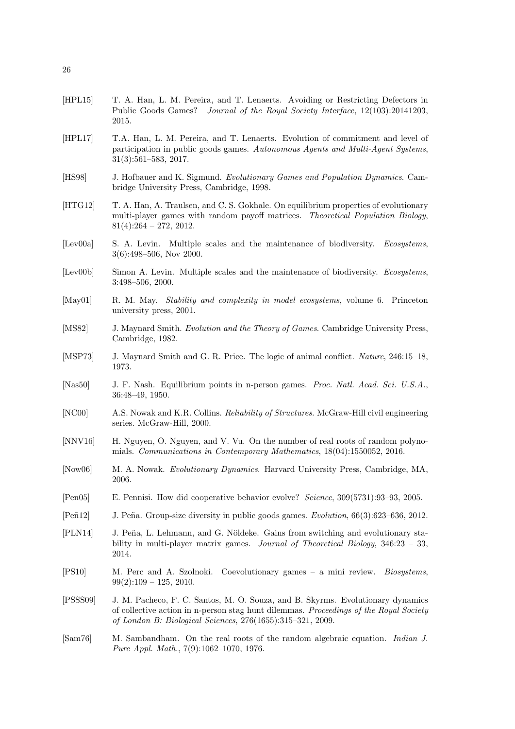- <span id="page-25-14"></span>[HPL15] T. A. Han, L. M. Pereira, and T. Lenaerts. Avoiding or Restricting Defectors in Public Goods Games? Journal of the Royal Society Interface, 12(103):20141203, 2015.
- <span id="page-25-5"></span>[HPL17] T.A. Han, L. M. Pereira, and T. Lenaerts. Evolution of commitment and level of participation in public goods games. Autonomous Agents and Multi-Agent Systems, 31(3):561–583, 2017.
- <span id="page-25-2"></span>[HS98] J. Hofbauer and K. Sigmund. Evolutionary Games and Population Dynamics. Cambridge University Press, Cambridge, 1998.
- <span id="page-25-8"></span>[HTG12] T. A. Han, A. Traulsen, and C. S. Gokhale. On equilibrium properties of evolutionary multi-player games with random payoff matrices. Theoretical Population Biology,  $81(4):264 - 272, 2012.$
- <span id="page-25-17"></span>[Lev00a] S. A. Levin. Multiple scales and the maintenance of biodiversity. *Ecosystems*, 3(6):498–506, Nov 2000.
- <span id="page-25-11"></span>[Lev00b] Simon A. Levin. Multiple scales and the maintenance of biodiversity. Ecosystems, 3:498–506, 2000.
- <span id="page-25-10"></span>[May01] R. M. May. Stability and complexity in model ecosystems, volume 6. Princeton university press, 2001.
- <span id="page-25-1"></span>[MS82] J. Maynard Smith. Evolution and the Theory of Games. Cambridge University Press, Cambridge, 1982.
- <span id="page-25-0"></span>[MSP73] J. Maynard Smith and G. R. Price. The logic of animal conflict. Nature, 246:15–18, 1973.
- <span id="page-25-7"></span>[Nas50] J. F. Nash. Equilibrium points in n-person games. Proc. Natl. Acad. Sci. U.S.A., 36:48–49, 1950.
- <span id="page-25-16"></span>[NC00] A.S. Nowak and K.R. Collins. Reliability of Structures. McGraw-Hill civil engineering series. McGraw-Hill, 2000.
- <span id="page-25-18"></span>[NNV16] H. Nguyen, O. Nguyen, and V. Vu. On the number of real roots of random polynomials. Communications in Contemporary Mathematics, 18(04):1550052, 2016.
- <span id="page-25-3"></span>[Now06] M. A. Nowak. Evolutionary Dynamics. Harvard University Press, Cambridge, MA, 2006.
- <span id="page-25-6"></span>[Pen05] E. Pennisi. How did cooperative behavior evolve? Science, 309(5731):93–93, 2005.
- <span id="page-25-13"></span>[Peñ12] J. Peña. Group-size diversity in public goods games. *Evolution*, 66(3):623–636, 2012.
- <span id="page-25-12"></span>[PLN14] J. Peña, L. Lehmann, and G. Nöldeke. Gains from switching and evolutionary stability in multi-player matrix games. Journal of Theoretical Biology, 346:23 – 33, 2014.
- <span id="page-25-4"></span>[PS10] M. Perc and A. Szolnoki. Coevolutionary games – a mini review. Biosystems,  $99(2):109 - 125, 2010.$
- <span id="page-25-9"></span>[PSSS09] J. M. Pacheco, F. C. Santos, M. O. Souza, and B. Skyrms. Evolutionary dynamics of collective action in n-person stag hunt dilemmas. Proceedings of the Royal Society of London B: Biological Sciences, 276(1655):315–321, 2009.
- <span id="page-25-15"></span>[Sam76] M. Sambandham. On the real roots of the random algebraic equation. Indian J. Pure Appl. Math., 7(9):1062–1070, 1976.